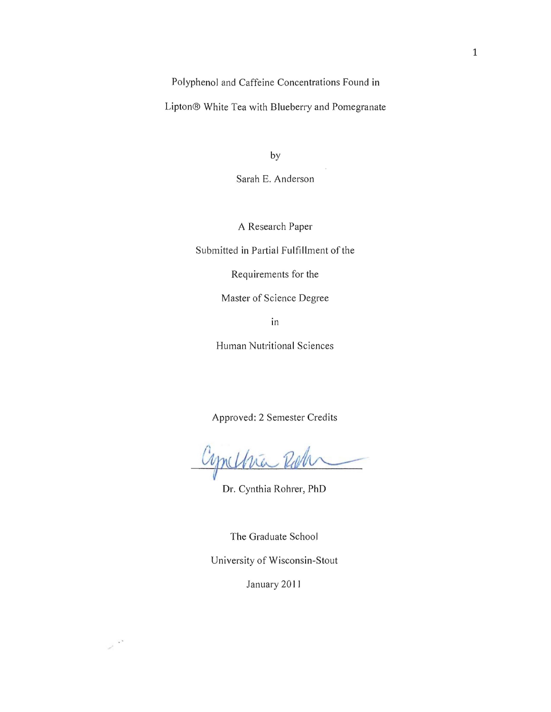Polyphenol and Caffeine Concentrations Found in

Lipton® White Tea with Blueberry and Pomegranate

by

Sarah E. Anderson

A Research Paper

Submitted in Partial Fulfillment of the

Requirements for the

Master of Science Degree

in

Human Nutritional Sciences

Approved: 2 Semester Credits

Cynchra Rol

Dr. Cynthia Rohrer, PhD

The Graduate School

University of Wisconsin-Stout

January 2011

 $\mathcal{S}^{\mathcal{L}^{\mathcal{L}}}$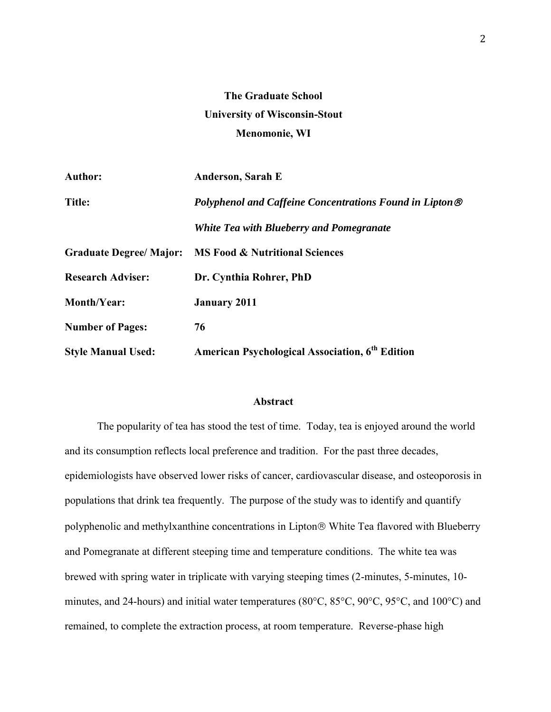# **The Graduate School University of Wisconsin-Stout Menomonie, WI**

| <b>Author:</b>                 | Anderson, Sarah E                                        |
|--------------------------------|----------------------------------------------------------|
| <b>Title:</b>                  | Polyphenol and Caffeine Concentrations Found in Lipton ® |
|                                | White Tea with Blueberry and Pomegranate                 |
| <b>Graduate Degree/ Major:</b> | <b>MS Food &amp; Nutritional Sciences</b>                |
| <b>Research Adviser:</b>       | Dr. Cynthia Rohrer, PhD                                  |
| <b>Month/Year:</b>             | <b>January 2011</b>                                      |
| <b>Number of Pages:</b>        | 76                                                       |
| <b>Style Manual Used:</b>      | <b>American Psychological Association, 6th Edition</b>   |

## **Abstract**

The popularity of tea has stood the test of time. Today, tea is enjoyed around the world and its consumption reflects local preference and tradition. For the past three decades, epidemiologists have observed lower risks of cancer, cardiovascular disease, and osteoporosis in populations that drink tea frequently. The purpose of the study was to identify and quantify polyphenolic and methylxanthine concentrations in Lipton® White Tea flavored with Blueberry and Pomegranate at different steeping time and temperature conditions. The white tea was brewed with spring water in triplicate with varying steeping times (2-minutes, 5-minutes, 10 minutes, and 24-hours) and initial water temperatures (80°C, 85°C, 90°C, 95°C, and 100°C) and remained, to complete the extraction process, at room temperature. Reverse-phase high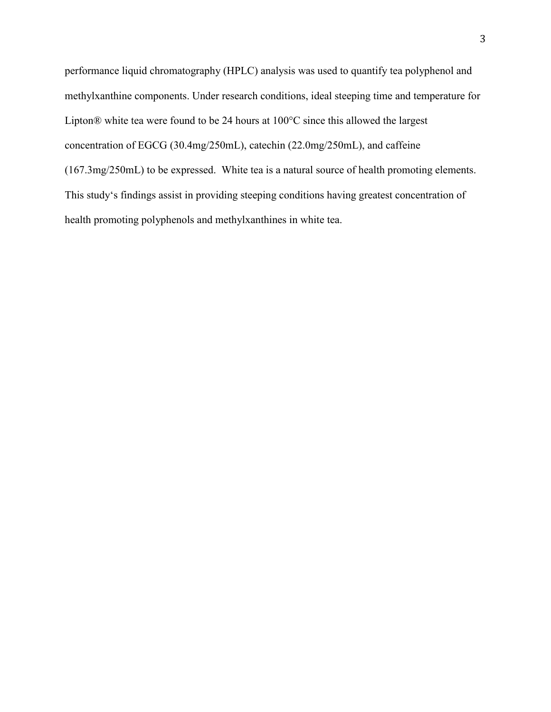performance liquid chromatography (HPLC) analysis was used to quantify tea polyphenol and methylxanthine components. Under research conditions, ideal steeping time and temperature for Lipton® white tea were found to be 24 hours at 100°C since this allowed the largest concentration of EGCG (30.4mg/250mL), catechin (22.0mg/250mL), and caffeine (167.3mg/250mL) to be expressed. White tea is a natural source of health promoting elements. This study's findings assist in providing steeping conditions having greatest concentration of health promoting polyphenols and methylxanthines in white tea.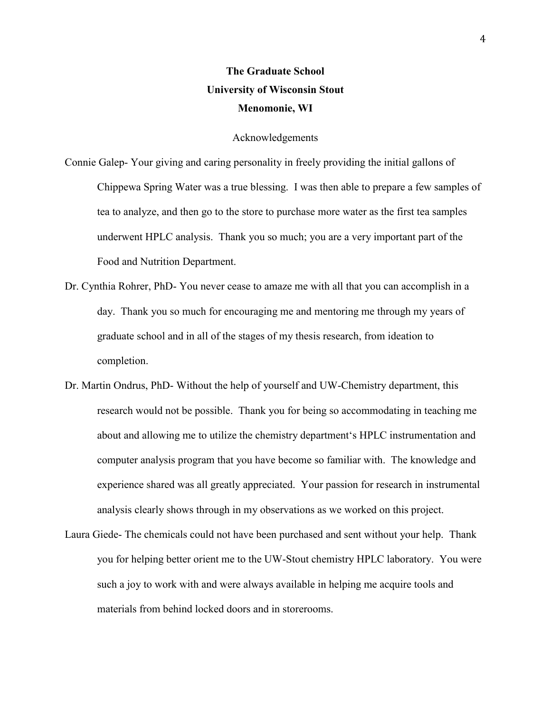# **The Graduate School University of Wisconsin Stout Menomonie, WI**

#### Acknowledgements

Connie Galep- Your giving and caring personality in freely providing the initial gallons of Chippewa Spring Water was a true blessing. I was then able to prepare a few samples of tea to analyze, and then go to the store to purchase more water as the first tea samples underwent HPLC analysis. Thank you so much; you are a very important part of the Food and Nutrition Department.

- Dr. Cynthia Rohrer, PhD- You never cease to amaze me with all that you can accomplish in a day. Thank you so much for encouraging me and mentoring me through my years of graduate school and in all of the stages of my thesis research, from ideation to completion.
- Dr. Martin Ondrus, PhD- Without the help of yourself and UW-Chemistry department, this research would not be possible. Thank you for being so accommodating in teaching me about and allowing me to utilize the chemistry department's HPLC instrumentation and computer analysis program that you have become so familiar with. The knowledge and experience shared was all greatly appreciated. Your passion for research in instrumental analysis clearly shows through in my observations as we worked on this project.
- Laura Giede- The chemicals could not have been purchased and sent without your help. Thank you for helping better orient me to the UW-Stout chemistry HPLC laboratory. You were such a joy to work with and were always available in helping me acquire tools and materials from behind locked doors and in storerooms.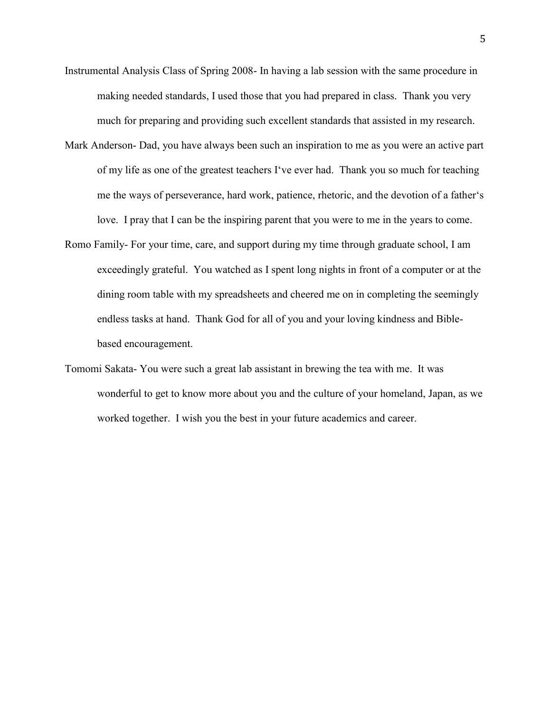- Instrumental Analysis Class of Spring 2008- In having a lab session with the same procedure in making needed standards, I used those that you had prepared in class. Thank you very much for preparing and providing such excellent standards that assisted in my research.
- Mark Anderson- Dad, you have always been such an inspiration to me as you were an active part of my life as one of the greatest teachers I've ever had. Thank you so much for teaching me the ways of perseverance, hard work, patience, rhetoric, and the devotion of a father's love. I pray that I can be the inspiring parent that you were to me in the years to come.
- Romo Family- For your time, care, and support during my time through graduate school, I am exceedingly grateful. You watched as I spent long nights in front of a computer or at the dining room table with my spreadsheets and cheered me on in completing the seemingly endless tasks at hand. Thank God for all of you and your loving kindness and Biblebased encouragement.
- Tomomi Sakata- You were such a great lab assistant in brewing the tea with me. It was wonderful to get to know more about you and the culture of your homeland, Japan, as we worked together. I wish you the best in your future academics and career.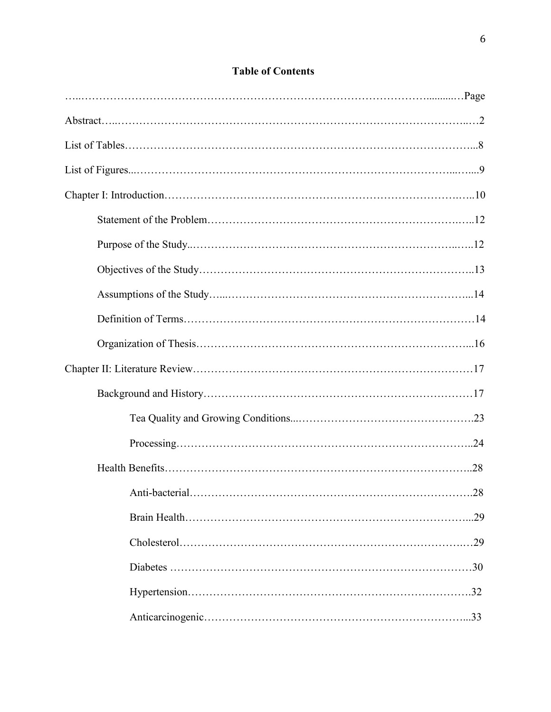| Anti-bacterial.<br>.28 |
|------------------------|
| .29                    |
|                        |
|                        |
| .32                    |
| .33                    |

# **Table of Contents**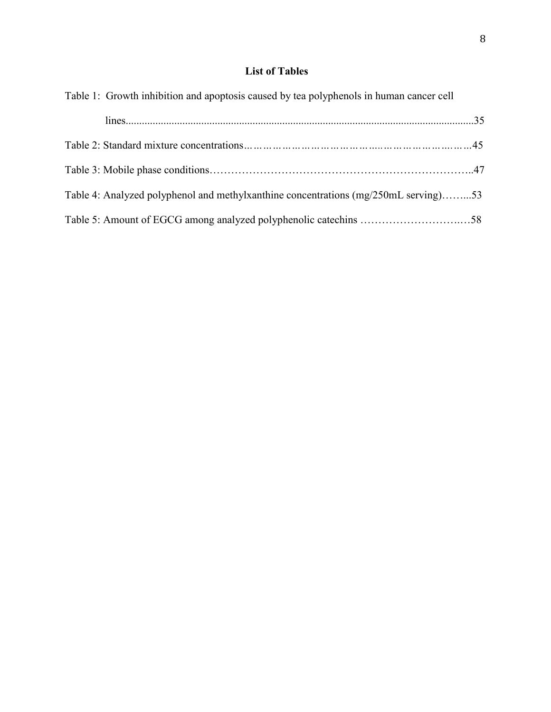# **List of Tables**

| Table 1: Growth inhibition and apoptosis caused by tea polyphenols in human cancer cell |  |
|-----------------------------------------------------------------------------------------|--|
|                                                                                         |  |
|                                                                                         |  |
|                                                                                         |  |
| Table 4: Analyzed polyphenol and methylxanthine concentrations (mg/250mL serving)53     |  |
|                                                                                         |  |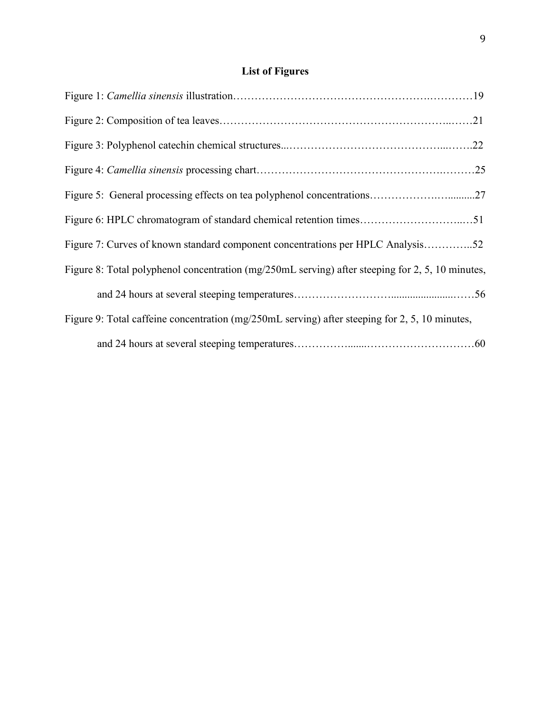# **List of Figures**

| Figure 7: Curves of known standard component concentrations per HPLC Analysis52                  |
|--------------------------------------------------------------------------------------------------|
| Figure 8: Total polyphenol concentration (mg/250mL serving) after steeping for 2, 5, 10 minutes, |
|                                                                                                  |
| Figure 9: Total caffeine concentration (mg/250mL serving) after steeping for 2, 5, 10 minutes,   |
|                                                                                                  |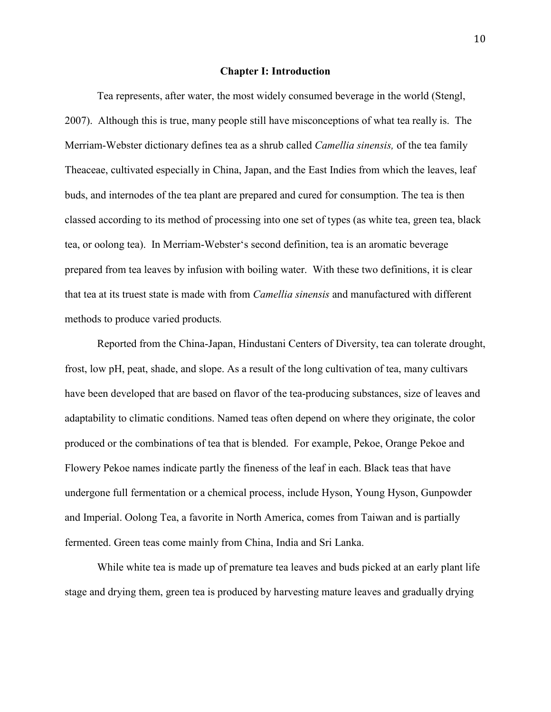#### **Chapter I: Introduction**

Tea represents, after water, the most widely consumed beverage in the world (Stengl, 2007). Although this is true, many people still have misconceptions of what tea really is. The Merriam-Webster dictionary defines tea as a shrub called *Camellia sinensis,* of the tea family Theaceae, cultivated especially in China, Japan, and the East Indies from which the leaves, leaf buds, and internodes of the tea plant are prepared and cured for consumption. The tea is then classed according to its method of processing into one set of types (as white tea, green tea, black tea, or oolong tea). In Merriam-Webster's second definition, tea is an aromatic beverage prepared from tea leaves by infusion with boiling water. With these two definitions, it is clear that tea at its truest state is made with from *Camellia sinensis* and manufactured with different methods to produce varied products*.*

Reported from the China-Japan, Hindustani Centers of Diversity, tea can tolerate drought, frost, low pH, peat, shade, and slope. As a result of the long cultivation of tea, many cultivars have been developed that are based on flavor of the tea-producing substances, size of leaves and adaptability to climatic conditions. Named teas often depend on where they originate, the color produced or the combinations of tea that is blended. For example, Pekoe, Orange Pekoe and Flowery Pekoe names indicate partly the fineness of the leaf in each. Black teas that have undergone full fermentation or a chemical process, include Hyson, Young Hyson, Gunpowder and Imperial. Oolong Tea, a favorite in North America, comes from Taiwan and is partially fermented. Green teas come mainly from China, India and Sri Lanka.

While white tea is made up of premature tea leaves and buds picked at an early plant life stage and drying them, green tea is produced by harvesting mature leaves and gradually drying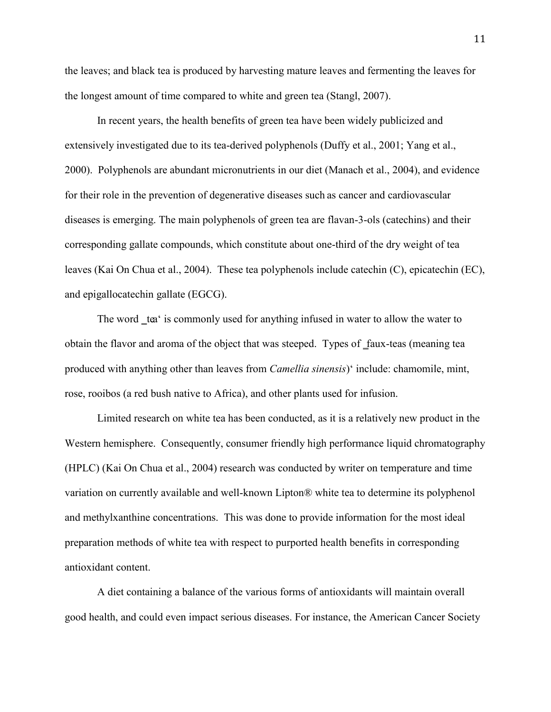the leaves; and black tea is produced by harvesting mature leaves and fermenting the leaves for the longest amount of time compared to white and green tea (Stangl, 2007).

In recent years, the health benefits of green tea have been widely publicized and extensively investigated due to its tea-derived polyphenols (Duffy et al., 2001; Yang et al., 2000). Polyphenols are abundant micronutrients in our diet (Manach et al., 2004), and evidence for their role in the prevention of degenerative diseases such as cancer and cardiovascular diseases is emerging. The main polyphenols of green tea are flavan-3-ols (catechins) and their corresponding gallate compounds, which constitute about one-third of the dry weight of tea leaves (Kai On Chua et al., 2004). These tea polyphenols include catechin (C), epicatechin (EC), and epigallocatechin gallate (EGCG).

The word tea' is commonly used for anything infused in water to allow the water to obtain the flavor and aroma of the object that was steeped. Types of faux-teas (meaning tea produced with anything other than leaves from *Camellia sinensis*)' include: chamomile, mint, rose, rooibos (a red bush native to Africa), and other plants used for infusion.

Limited research on white tea has been conducted, as it is a relatively new product in the Western hemisphere. Consequently, consumer friendly high performance liquid chromatography (HPLC) (Kai On Chua et al., 2004) research was conducted by writer on temperature and time variation on currently available and well-known Lipton® white tea to determine its polyphenol and methylxanthine concentrations. This was done to provide information for the most ideal preparation methods of white tea with respect to purported health benefits in corresponding antioxidant content.

A diet containing a balance of the various forms of antioxidants will maintain overall good health, and could even impact serious diseases. For instance, the American Cancer Society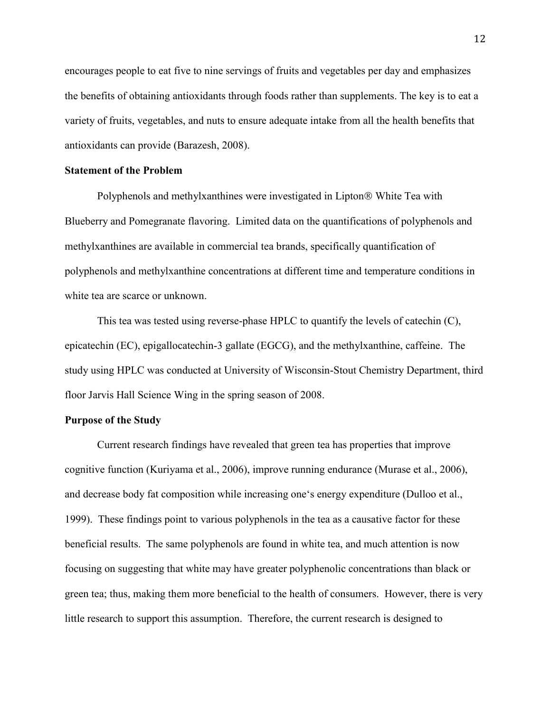encourages people to eat five to nine servings of fruits and vegetables per day and emphasizes the benefits of obtaining antioxidants through foods rather than supplements. The key is to eat a variety of fruits, vegetables, and nuts to ensure adequate intake from all the health benefits that antioxidants can provide (Barazesh, 2008).

#### **Statement of the Problem**

Polyphenols and methylxanthines were investigated in Lipton<sup>®</sup> White Tea with Blueberry and Pomegranate flavoring. Limited data on the quantifications of polyphenols and methylxanthines are available in commercial tea brands, specifically quantification of polyphenols and methylxanthine concentrations at different time and temperature conditions in white tea are scarce or unknown.

This tea was tested using reverse-phase HPLC to quantify the levels of catechin (C), epicatechin (EC), epigallocatechin-3 gallate (EGCG), and the methylxanthine, caffeine. The study using HPLC was conducted at University of Wisconsin-Stout Chemistry Department, third floor Jarvis Hall Science Wing in the spring season of 2008.

#### **Purpose of the Study**

Current research findings have revealed that green tea has properties that improve cognitive function (Kuriyama et al., 2006), improve running endurance (Murase et al., 2006), and decrease body fat composition while increasing one's energy expenditure (Dulloo et al., 1999). These findings point to various polyphenols in the tea as a causative factor for these beneficial results. The same polyphenols are found in white tea, and much attention is now focusing on suggesting that white may have greater polyphenolic concentrations than black or green tea; thus, making them more beneficial to the health of consumers. However, there is very little research to support this assumption. Therefore, the current research is designed to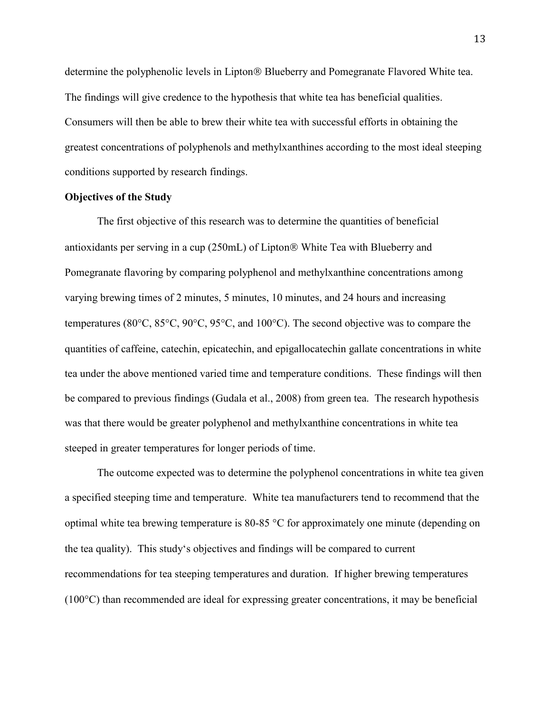determine the polyphenolic levels in Lipton® Blueberry and Pomegranate Flavored White tea. The findings will give credence to the hypothesis that white tea has beneficial qualities. Consumers will then be able to brew their white tea with successful efforts in obtaining the greatest concentrations of polyphenols and methylxanthines according to the most ideal steeping conditions supported by research findings.

#### **Objectives of the Study**

The first objective of this research was to determine the quantities of beneficial antioxidants per serving in a cup (250mL) of Lipton® White Tea with Blueberry and Pomegranate flavoring by comparing polyphenol and methylxanthine concentrations among varying brewing times of 2 minutes, 5 minutes, 10 minutes, and 24 hours and increasing temperatures (80 $\degree$ C, 85 $\degree$ C, 90 $\degree$ C, 95 $\degree$ C, and 100 $\degree$ C). The second objective was to compare the quantities of caffeine, catechin, epicatechin, and epigallocatechin gallate concentrations in white tea under the above mentioned varied time and temperature conditions. These findings will then be compared to previous findings (Gudala et al., 2008) from green tea. The research hypothesis was that there would be greater polyphenol and methylxanthine concentrations in white tea steeped in greater temperatures for longer periods of time.

The outcome expected was to determine the polyphenol concentrations in white tea given a specified steeping time and temperature. White tea manufacturers tend to recommend that the optimal white tea brewing temperature is 80-85  $\degree$ C for approximately one minute (depending on the tea quality). This study's objectives and findings will be compared to current recommendations for tea steeping temperatures and duration. If higher brewing temperatures  $(100^{\circ}C)$  than recommended are ideal for expressing greater concentrations, it may be beneficial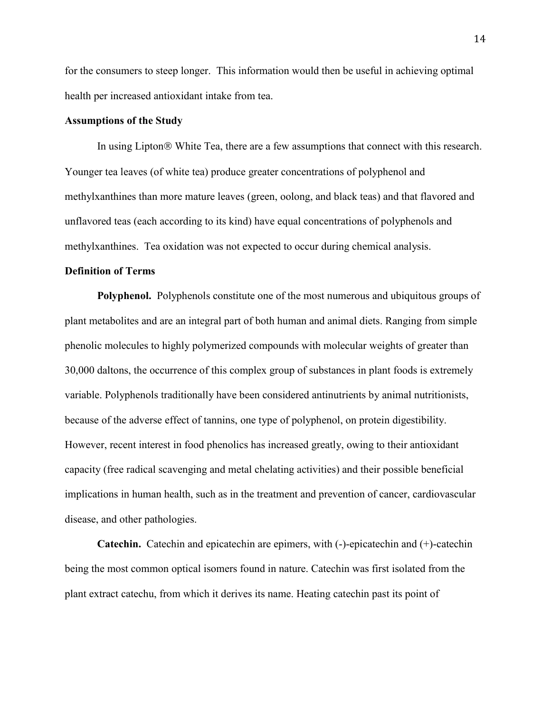for the consumers to steep longer. This information would then be useful in achieving optimal health per increased antioxidant intake from tea.

## **Assumptions of the Study**

In using Lipton<sup>®</sup> White Tea, there are a few assumptions that connect with this research. Younger tea leaves (of white tea) produce greater concentrations of polyphenol and methylxanthines than more mature leaves (green, oolong, and black teas) and that flavored and unflavored teas (each according to its kind) have equal concentrations of polyphenols and methylxanthines. Tea oxidation was not expected to occur during chemical analysis.

### **Definition of Terms**

**Polyphenol.**Polyphenols constitute one of the most numerous and ubiquitous groups of plant metabolites and are an integral part of both human and animal diets. Ranging from simple phenolic molecules to highly polymerized compounds with molecular weights of greater than 30,000 daltons, the occurrence of this complex group of substances in plant foods is extremely variable. Polyphenols traditionally have been considered antinutrients by animal nutritionists, because of the adverse effect of tannins, one type of polyphenol, on protein digestibility. However, recent interest in food phenolics has increased greatly, owing to their antioxidant capacity (free radical scavenging and metal chelating activities) and their possible beneficial implications in human health, such as in the treatment and prevention of cancer, cardiovascular disease, and other pathologies.

**Catechin.** Catechin and epicatechin are [epimers,](http://en.wikipedia.org/wiki/Epimer) with (-)-epicatechin and (+)-catechin being the most common optical [isomers](http://en.wikipedia.org/wiki/Isomers) found in nature. Catechin was first isolated from the plant extract [catechu,](http://en.wikipedia.org/wiki/Catechu) from which it derives its name. Heating catechin past its point of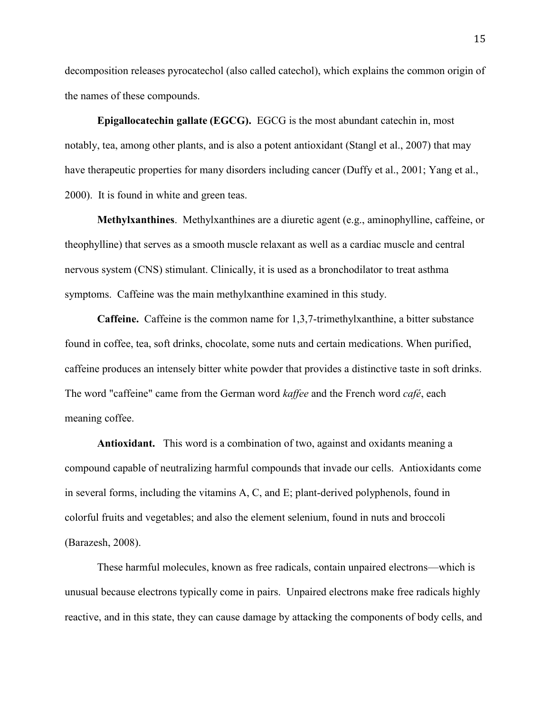decomposition releases [pyrocatechol](http://en.wikipedia.org/wiki/Pyrocatechol) (also called catechol), which explains the common origin of the names of these compounds.

**Epigallocatechin gallate (EGCG).** EGCG is the most abundant catechin in, most notably, [tea,](http://en.wikipedia.org/wiki/Tea) among other plants, and is also a potent [antioxidant](http://en.wikipedia.org/wiki/Antioxidant) (Stangl et al., 2007) that may have therapeutic properties for many disorders including cancer (Duffy et al., 2001; Yang et al., 2000). It is found in white and [green teas](http://en.wikipedia.org/wiki/Green_tea).

**Methylxanthines**. Methylxanthines are a diuretic agent (e.g., aminophylline, caffeine, or theophylline) that serves as a smooth muscle relaxant as well as a cardiac muscle and central nervous system (CNS) stimulant. Clinically, it is used as a bronchodilator to treat asthma symptoms. Caffeine was the main methylxanthine examined in this study.

**Caffeine.** Caffeine is the common name for 1,3,7-trimethylxanthine, a bitter substance found in coffee, tea, soft drinks, chocolate, some nuts and certain medications. When purified, caffeine produces an intensely bitter white powder that provides a distinctive taste in soft drinks. The word "caffeine" came from the German word *kaffee* and the French word *café*, each meaning coffee.

**Antioxidant.** This word is a combination of two, against and oxidants meaning a compound capable of neutralizing harmful compounds that invade our cells. Antioxidants come in several forms, including the vitamins A, C, and E; plant-derived polyphenols, found in colorful fruits and vegetables; and also the element selenium, found in nuts and broccoli (Barazesh, 2008).

These harmful molecules, known as free radicals, contain unpaired electrons—which is unusual because electrons typically come in pairs. Unpaired electrons make free radicals highly reactive, and in this state, they can cause damage by attacking the components of body cells, and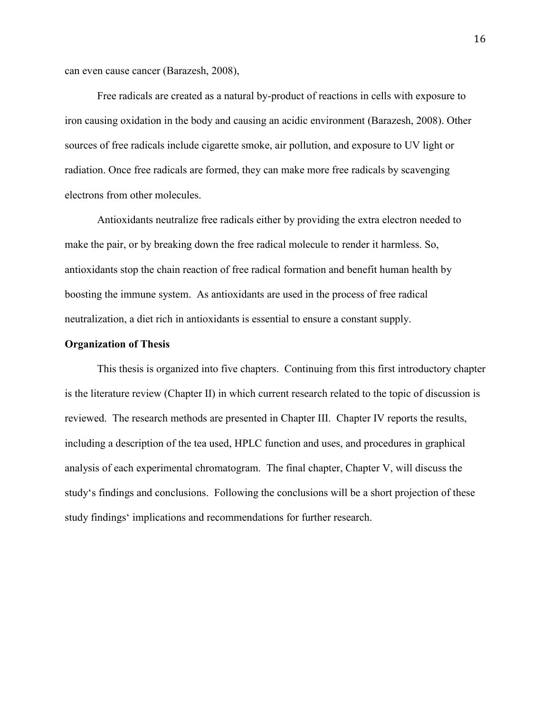can even cause cancer (Barazesh, 2008),

Free radicals are created as a natural by-product of reactions in cells with exposure to iron causing oxidation in the body and causing an acidic environment (Barazesh, 2008). Other sources of free radicals include cigarette smoke, air pollution, and exposure to UV light or radiation. Once free radicals are formed, they can make more free radicals by scavenging electrons from other molecules.

Antioxidants neutralize free radicals either by providing the extra electron needed to make the pair, or by breaking down the free radical molecule to render it harmless. So, antioxidants stop the chain reaction of free radical formation and benefit human health by boosting the immune system. As antioxidants are used in the process of free radical neutralization, a diet rich in antioxidants is essential to ensure a constant supply.

#### **Organization of Thesis**

 This thesis is organized into five chapters. Continuing from this first introductory chapter is the literature review (Chapter II) in which current research related to the topic of discussion is reviewed. The research methods are presented in Chapter III. Chapter IV reports the results, including a description of the tea used, HPLC function and uses, and procedures in graphical analysis of each experimental chromatogram. The final chapter, Chapter V, will discuss the study's findings and conclusions. Following the conclusions will be a short projection of these study findings' implications and recommendations for further research.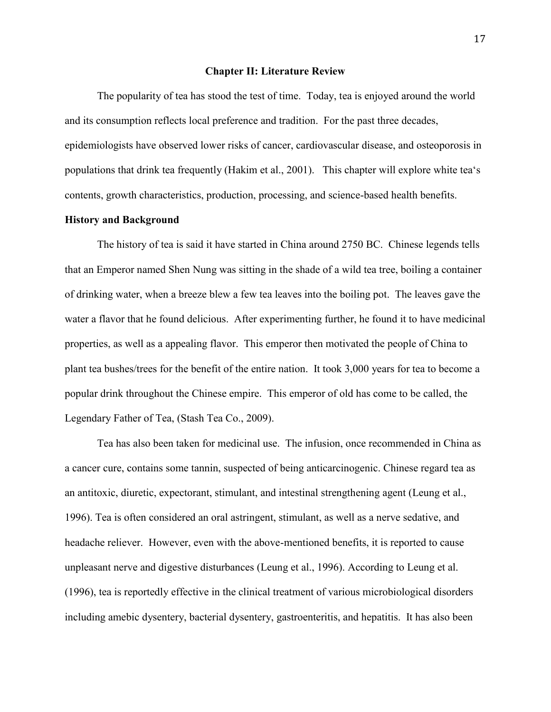#### **Chapter II: Literature Review**

 The popularity of tea has stood the test of time. Today, tea is enjoyed around the world and its consumption reflects local preference and tradition. For the past three decades, epidemiologists have observed lower risks of cancer, cardiovascular disease, and osteoporosis in populations that drink tea frequently (Hakim et al., 2001). This chapter will explore white tea's contents, growth characteristics, production, processing, and science-based health benefits.

# **History and Background**

The history of tea is said it have started in China around 2750 BC. Chinese legends tells that an Emperor named Shen Nung was sitting in the shade of a wild tea tree, boiling a container of drinking water, when a breeze blew a few tea leaves into the boiling pot. The leaves gave the water a flavor that he found delicious. After experimenting further, he found it to have medicinal properties, as well as a appealing flavor. This emperor then motivated the people of China to plant tea bushes/trees for the benefit of the entire nation. It took 3,000 years for tea to become a popular drink throughout the Chinese empire. This emperor of old has come to be called, the Legendary Father of Tea, (Stash Tea Co., 2009).

Tea has also been taken for medicinal use. The infusion, once recommended in China as a cancer cure, contains some tannin, suspected of being anticarcinogenic. Chinese regard tea as an antitoxic, diuretic, expectorant, stimulant, and intestinal strengthening agent (Leung et al., 1996). Tea is often considered an oral astringent, stimulant, as well as a nerve sedative, and headache reliever. However, even with the above-mentioned benefits, it is reported to cause unpleasant nerve and digestive disturbances (Leung et al., 1996). According to Leung et al. (1996), tea is reportedly effective in the clinical treatment of various microbiological disorders including amebic dysentery, bacterial dysentery, gastroenteritis, and hepatitis. It has also been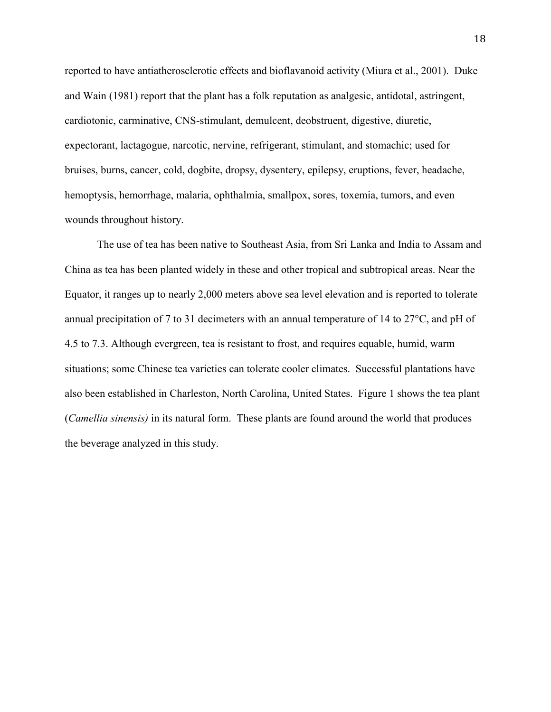reported to have antiatherosclerotic effects and bioflavanoid activity (Miura et al., 2001). Duke and Wain (1981) report that the plant has a folk reputation as analgesic, antidotal, astringent, cardiotonic, carminative, CNS-stimulant, demulcent, deobstruent, digestive, diuretic, expectorant, lactagogue, narcotic, nervine, refrigerant, stimulant, and stomachic; used for bruises, burns, cancer, cold, dogbite, dropsy, dysentery, epilepsy, eruptions, fever, headache, hemoptysis, hemorrhage, malaria, ophthalmia, smallpox, sores, toxemia, tumors, and even wounds throughout history.

The use of tea has been native to Southeast Asia, from Sri Lanka and India to Assam and China as tea has been planted widely in these and other tropical and subtropical areas. Near the Equator, it ranges up to nearly 2,000 meters above sea level elevation and is reported to tolerate annual precipitation of 7 to 31 decimeters with an annual temperature of 14 to 27°C, and pH of 4.5 to 7.3. Although evergreen, tea is resistant to frost, and requires equable, humid, warm situations; some Chinese tea varieties can tolerate cooler climates. Successful plantations have also been established in Charleston, North Carolina, United States. Figure 1 shows the tea plant (*Camellia sinensis)* in its natural form. These plants are found around the world that produces the beverage analyzed in this study.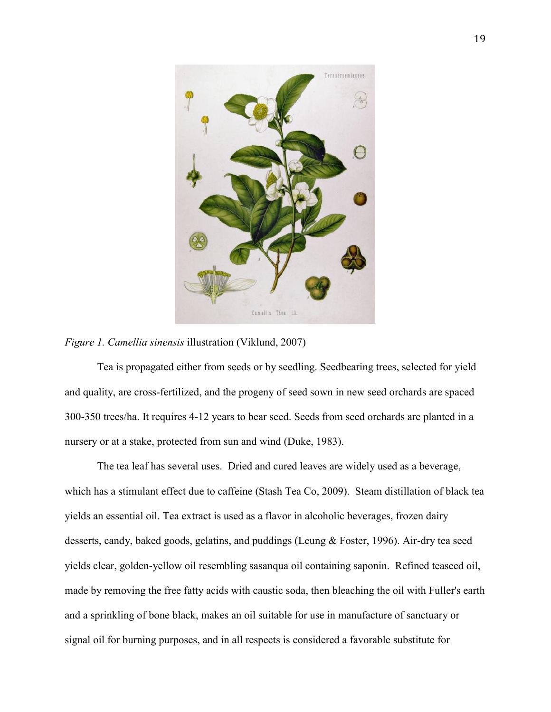



Tea is propagated either from seeds or by seedling. Seedbearing trees, selected for yield and quality, are cross-fertilized, and the progeny of seed sown in new seed orchards are spaced 300-350 trees/ha. It requires 4-12 years to bear seed. Seeds from seed orchards are planted in a nursery or at a stake, protected from sun and wind (Duke, 1983).

The tea leaf has several uses. Dried and cured leaves are widely used as a beverage, which has a stimulant effect due to caffeine (Stash Tea Co, 2009). Steam distillation of black tea yields an essential oil. Tea extract is used as a flavor in alcoholic beverages, frozen dairy desserts, candy, baked goods, gelatins, and puddings (Leung & Foster, 1996). Air-dry tea seed yields clear, golden-yellow oil resembling sasanqua oil containing saponin. Refined teaseed oil, made by removing the free fatty acids with caustic soda, then bleaching the oil with Fuller's earth and a sprinkling of bone black, makes an oil suitable for use in manufacture of sanctuary or signal oil for burning purposes, and in all respects is considered a favorable substitute for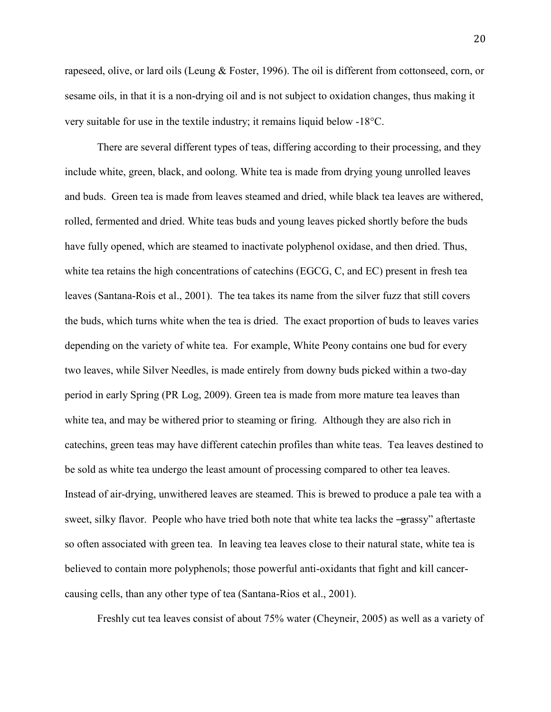rapeseed, olive, or lard oils (Leung & Foster, 1996). The oil is different from cottonseed, corn, or sesame oils, in that it is a non-drying oil and is not subject to oxidation changes, thus making it very suitable for use in the textile industry; it remains liquid below -18<sup>o</sup>C.

There are several different types of teas, differing according to their processing, and they include white, green, black, and oolong. White tea is made from drying young unrolled leaves and buds. Green tea is made from leaves steamed and dried, while black tea leaves are withered, rolled, fermented and dried. White teas buds and young leaves picked shortly before the buds have fully opened, which are steamed to inactivate polyphenol oxidase, and then dried. Thus, white tea retains the high concentrations of catechins (EGCG, C, and EC) present in fresh tea leaves (Santana-Rois et al., 2001). The tea takes its name from the silver fuzz that still covers the buds, which turns white when the tea is dried. The exact proportion of buds to leaves varies depending on the variety of white tea. For example, White Peony contains one bud for every two leaves, while Silver Needles, is made entirely from downy buds picked within a two-day period in early Spring (PR Log, 2009). Green tea is made from more mature tea leaves than white tea, and may be withered prior to steaming or firing. Although they are also rich in catechins, green teas may have different catechin profiles than white teas. Tea leaves destined to be sold as white tea undergo the least amount of processing compared to other tea leaves. Instead of air-drying, unwithered leaves are steamed. This is brewed to produce a pale tea with a sweet, silky flavor. People who have tried both note that white tea lacks the -grassy" aftertaste so often associated with green tea. In leaving tea leaves close to their natural state, white tea is believed to contain more polyphenols; those powerful anti-oxidants that fight and kill cancercausing cells, than any other type of tea (Santana-Rios et al., 2001).

Freshly cut tea leaves consist of about 75% water (Cheyneir, 2005) as well as a variety of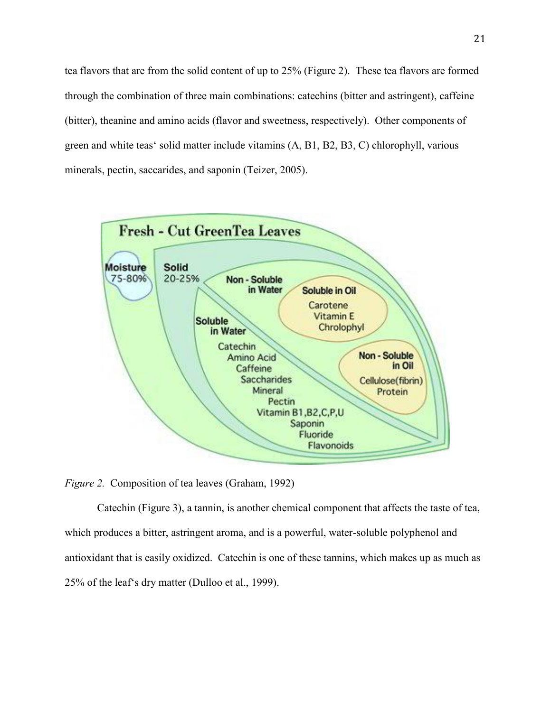tea flavors that are from the solid content of up to 25% (Figure 2). These tea flavors are formed through the combination of three main combinations: catechins (bitter and astringent), caffeine (bitter), theanine and amino acids (flavor and sweetness, respectively). Other components of green and white teas' solid matter include vitamins (A, B1, B2, B3, C) chlorophyll, various minerals, pectin, saccarides, and saponin (Teizer, 2005).



*Figure 2.* Composition of tea leaves (Graham, 1992)

Catechin (Figure 3), a tannin, is another chemical component that affects the taste of tea, which produces a bitter, astringent aroma, and is a powerful, water-soluble polyphenol and antioxidant that is easily oxidized. Catechin is one of these tannins, which makes up as much as 25% of the leaf's dry matter (Dulloo et al., 1999).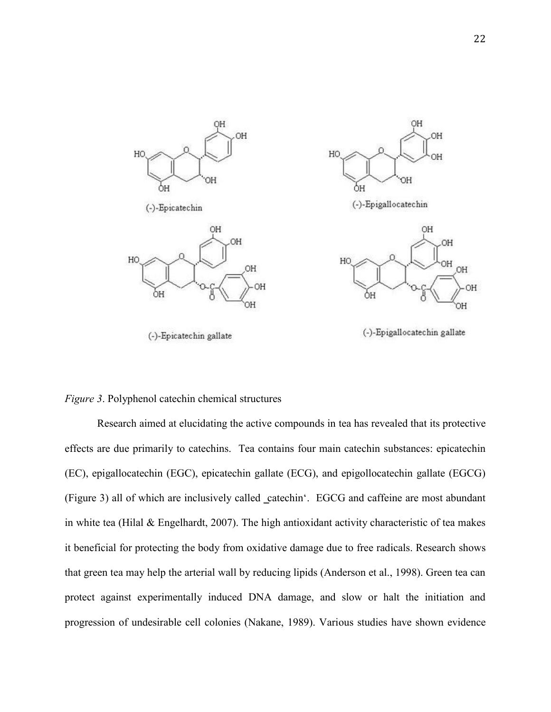

*Figure 3*. Polyphenol catechin chemical structures

Research aimed at elucidating the active compounds in tea has revealed that its protective effects are due primarily to catechins. Tea contains four main catechin substances: epicatechin (EC), epigallocatechin (EGC), epicatechin gallate (ECG), and epigollocatechin gallate (EGCG) (Figure 3) all of which are inclusively called \_catechin'. EGCG and caffeine are most abundant in white tea (Hilal & Engelhardt, 2007). The high antioxidant activity characteristic of tea makes it beneficial for protecting the body from oxidative damage due to free radicals. Research shows that green tea may help the arterial wall by reducing lipids (Anderson et al., 1998). Green tea can protect against experimentally induced DNA damage, and slow or halt the initiation and progression of undesirable cell colonies (Nakane, 1989). Various studies have shown evidence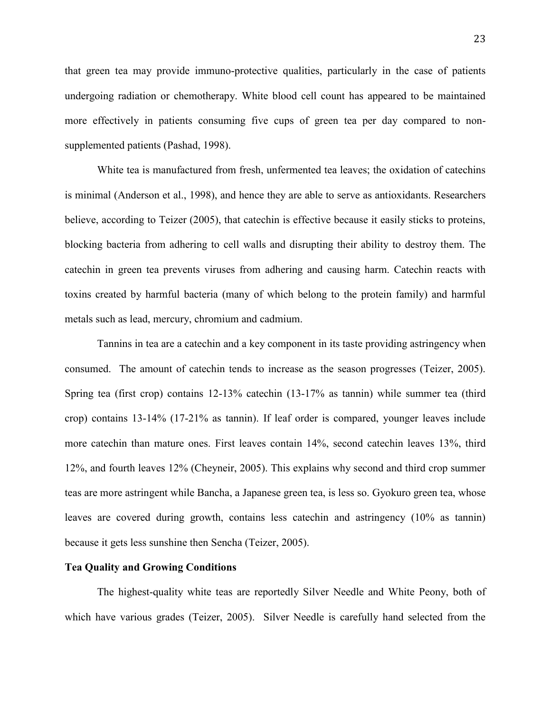that green tea may provide immuno-protective qualities, particularly in the case of patients undergoing radiation or chemotherapy. White blood cell count has appeared to be maintained more effectively in patients consuming five cups of green tea per day compared to nonsupplemented patients (Pashad, 1998).

White tea is manufactured from fresh, unfermented tea leaves; the oxidation of catechins is minimal (Anderson et al., 1998), and hence they are able to serve as antioxidants. Researchers believe, according to Teizer (2005), that catechin is effective because it easily sticks to proteins, blocking bacteria from adhering to cell walls and disrupting their ability to destroy them. The catechin in green tea prevents viruses from adhering and causing harm. Catechin reacts with toxins created by harmful bacteria (many of which belong to the protein family) and harmful metals such as lead, mercury, chromium and cadmium.

Tannins in tea are a catechin and a key component in its taste providing astringency when consumed. The amount of catechin tends to increase as the season progresses (Teizer, 2005). Spring tea (first crop) contains 12-13% catechin (13-17% as tannin) while summer tea (third crop) contains 13-14% (17-21% as tannin). If leaf order is compared, younger leaves include more catechin than mature ones. First leaves contain 14%, second catechin leaves 13%, third 12%, and fourth leaves 12% (Cheyneir, 2005). This explains why second and third crop summer teas are more astringent while Bancha, a Japanese green tea, is less so. Gyokuro green tea, whose leaves are covered during growth, contains less catechin and astringency (10% as tannin) because it gets less sunshine then Sencha (Teizer, 2005).

#### **Tea Quality and Growing Conditions**

The highest-quality white teas are reportedly Silver Needle and White Peony, both of which have various grades (Teizer, 2005). Silver Needle is carefully hand selected from the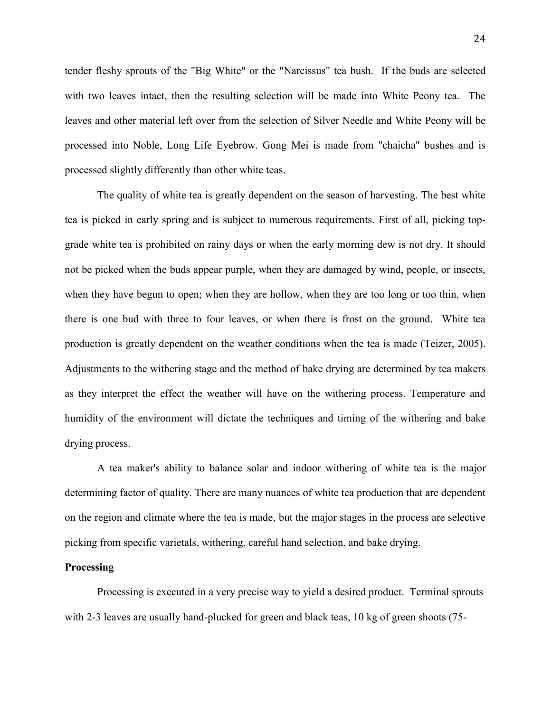tender fleshy sprouts of the "Big White" or the "Narcissus" tea bush. If the buds are selected with two leaves intact, then the resulting selection will be made into White Peony tea. The leaves and other material left over from the selection of Silver Needle and White Peony will be processed into Noble, Long Life Eyebrow. Gong Mei is made from "chaicha" bushes and is processed slightly differently than other white teas.

The quality of white tea is greatly dependent on the season of harvesting. The best white tea is picked in early spring and is subject to numerous requirements. First of all, picking topgrade white tea is prohibited on rainy days or when the early morning dew is not dry. It should not be picked when the buds appear purple, when they are damaged by wind, people, or insects, when they have begun to open; when they are hollow, when they are too long or too thin, when there is one bud with three to four leaves, or when there is frost on the ground. White tea production is greatly dependent on the weather conditions when the tea is made (Teizer, 2005). Adjustments to the withering stage and the method of bake drying are determined by tea makers as they interpret the effect the weather will have on the withering process. Temperature and humidity of the environment will dictate the techniques and timing of the withering and bake drying process.

A tea maker's ability to balance solar and indoor withering of white tea is the major determining factor of quality. There are many nuances of white tea production that are dependent on the region and climate where the tea is made, but the major stages in the process are selective picking from specific varietals, withering, careful hand selection, and bake drying.

## **Processing**

Processing is executed in a very precise way to yield a desired product. Terminal sprouts with 2-3 leaves are usually hand-plucked for green and black teas, 10 kg of green shoots (75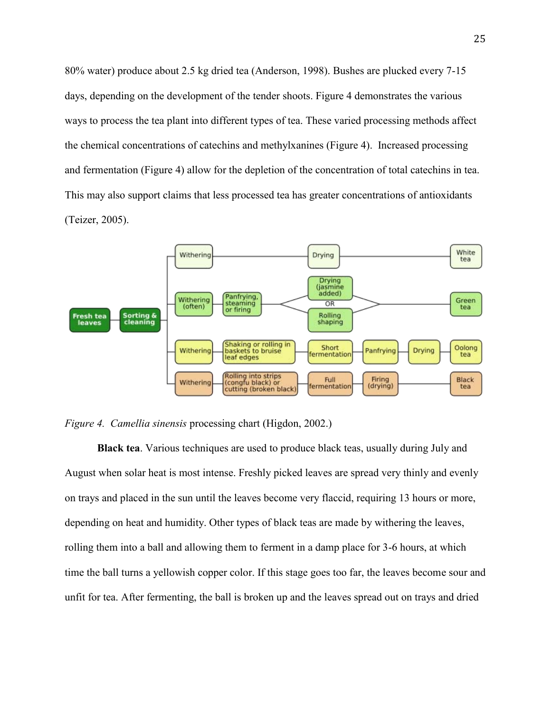80% water) produce about 2.5 kg dried tea (Anderson, 1998). Bushes are plucked every 7-15 days, depending on the development of the tender shoots. Figure 4 demonstrates the various ways to process the tea plant into different types of tea. These varied processing methods affect the chemical concentrations of catechins and methylxanines (Figure 4). Increased processing and fermentation (Figure 4) allow for the depletion of the concentration of total catechins in tea. This may also support claims that less processed tea has greater concentrations of antioxidants (Teizer, 2005).





**Black tea**. Various techniques are used to produce black teas, usually during July and August when solar heat is most intense. Freshly picked leaves are spread very thinly and evenly on trays and placed in the sun until the leaves become very flaccid, requiring 13 hours or more, depending on heat and humidity. Other types of black teas are made by withering the leaves, rolling them into a ball and allowing them to ferment in a damp place for 3-6 hours, at which time the ball turns a yellowish copper color. If this stage goes too far, the leaves become sour and unfit for tea. After fermenting, the ball is broken up and the leaves spread out on trays and dried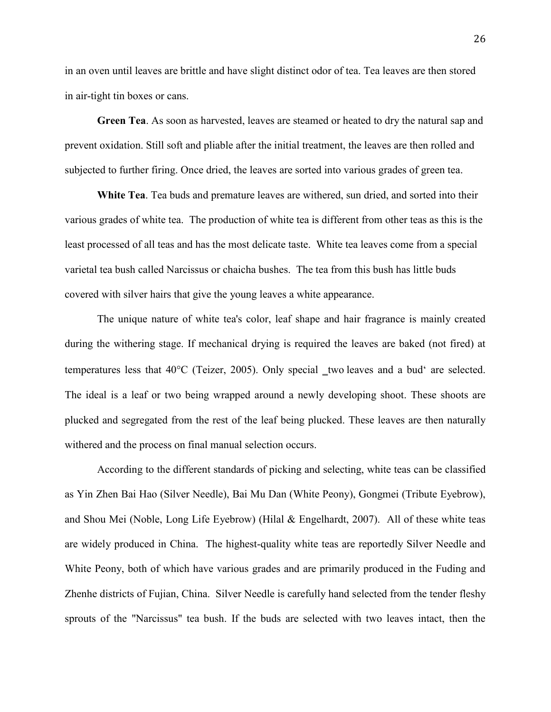in an oven until leaves are brittle and have slight distinct odor of tea. Tea leaves are then stored in air-tight tin boxes or cans.

**Green Tea**. As soon as harvested, leaves are steamed or heated to dry the natural sap and prevent oxidation. Still soft and pliable after the initial treatment, the leaves are then rolled and subjected to further firing. Once dried, the leaves are sorted into various grades of green tea.

**White Tea**. Tea buds and premature leaves are withered, sun dried, and sorted into their various grades of white tea. The production of white tea is different from other teas as this is the least processed of all teas and has the most delicate taste. White tea leaves come from a special varietal tea bush called Narcissus or chaicha bushes. The tea from this bush has little buds covered with silver hairs that give the young leaves a white appearance.

The unique nature of white tea's color, leaf shape and hair fragrance is mainly created during the withering stage. If mechanical drying is required the leaves are baked (not fired) at temperatures less that  $40^{\circ}$ C (Teizer, 2005). Only special two leaves and a bud' are selected. The ideal is a leaf or two being wrapped around a newly developing shoot. These shoots are plucked and segregated from the rest of the leaf being plucked. These leaves are then naturally withered and the process on final manual selection occurs.

According to the different standards of picking and selecting, white teas can be classified as Yin Zhen Bai Hao (Silver Needle), Bai Mu Dan (White Peony), Gongmei (Tribute Eyebrow), and Shou Mei (Noble, Long Life Eyebrow) (Hilal & Engelhardt, 2007). All of these white teas are widely produced in China. The highest-quality white teas are reportedly Silver Needle and White Peony, both of which have various grades and are primarily produced in the Fuding and Zhenhe districts of Fujian, China. Silver Needle is carefully hand selected from the tender fleshy sprouts of the "Narcissus" tea bush. If the buds are selected with two leaves intact, then the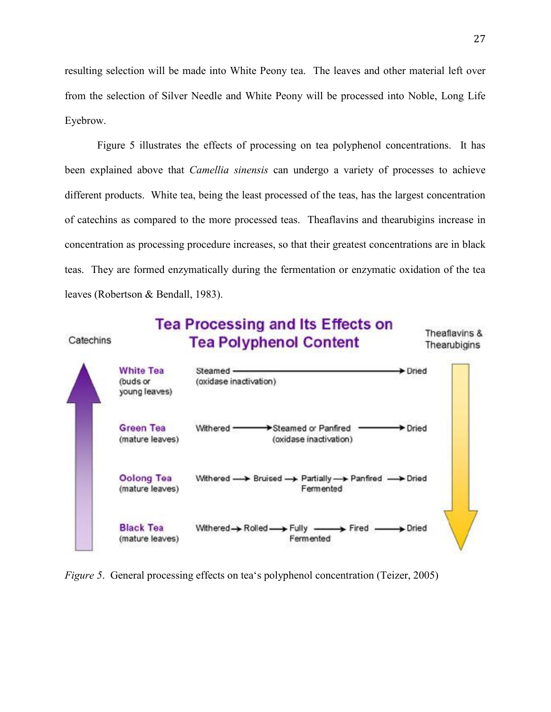resulting selection will be made into White Peony tea. The leaves and other material left over from the selection of Silver Needle and White Peony will be processed into Noble, Long Life Eyebrow.

Figure 5 illustrates the effects of processing on tea polyphenol concentrations. It has been explained above that *Camellia sinensis* can undergo a variety of processes to achieve different products. White tea, being the least processed of the teas, has the largest concentration of catechins as compared to the more processed teas. Theaflavins and thearubigins increase in concentration as processing procedure increases, so that their greatest concentrations are in black teas. They are formed enzymatically during the fermentation or enzymatic oxidation of the tea leaves (Robertson & Bendall, 1983).



*Figure 5.* General processing effects on tea's polyphenol concentration (Teizer, 2005)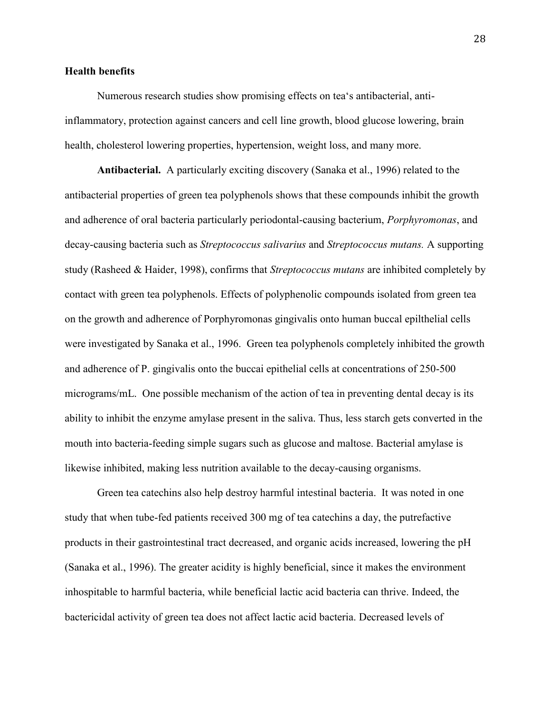### **Health benefits**

Numerous research studies show promising effects on tea's antibacterial, antiinflammatory, protection against cancers and cell line growth, blood glucose lowering, brain health, cholesterol lowering properties, hypertension, weight loss, and many more.

**Antibacterial.** A particularly exciting discovery (Sanaka et al., 1996) related to the antibacterial properties of green tea polyphenols shows that these compounds inhibit the growth and adherence of oral bacteria particularly periodontal-causing bacterium, *Porphyromonas*, and decay-causing bacteria such as *Streptococcus salivarius* and *Streptococcus mutans.* A supporting study (Rasheed & Haider, 1998), confirms that *Streptococcus mutans* are inhibited completely by contact with green tea polyphenols. Effects of polyphenolic compounds isolated from green tea on the growth and adherence of Porphyromonas gingivalis onto human buccal epilthelial cells were investigated by Sanaka et al., 1996. Green tea polyphenols completely inhibited the growth and adherence of P. gingivalis onto the buccai epithelial cells at concentrations of 250-500 micrograms/mL. One possible mechanism of the action of tea in preventing dental decay is its ability to inhibit the enzyme amylase present in the saliva. Thus, less starch gets converted in the mouth into bacteria-feeding simple sugars such as glucose and maltose. Bacterial amylase is likewise inhibited, making less nutrition available to the decay-causing organisms.

Green tea catechins also help destroy harmful intestinal bacteria. It was noted in one study that when tube-fed patients received 300 mg of tea catechins a day, the putrefactive products in their gastrointestinal tract decreased, and organic acids increased, lowering the pH (Sanaka et al., 1996). The greater acidity is highly beneficial, since it makes the environment inhospitable to harmful bacteria, while beneficial lactic acid bacteria can thrive. Indeed, the bactericidal activity of green tea does not affect lactic acid bacteria. Decreased levels of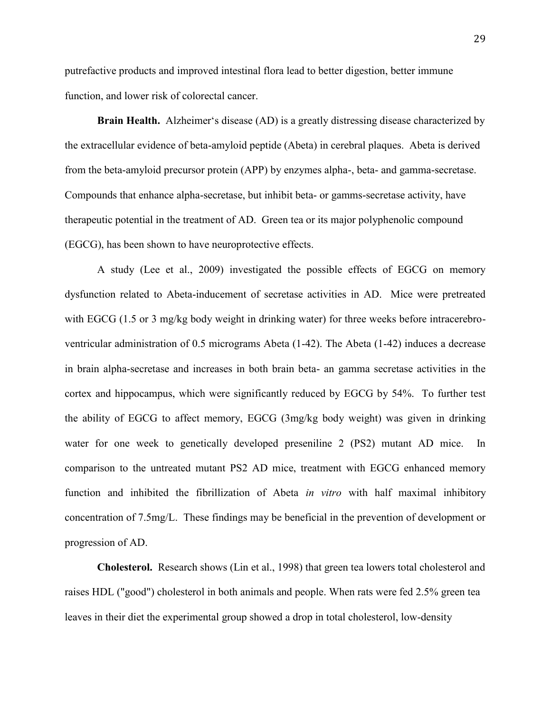putrefactive products and improved intestinal flora lead to better digestion, better immune function, and lower risk of colorectal cancer.

**Brain Health.** Alzheimer's disease (AD) is a greatly distressing disease characterized by the extracellular evidence of beta-amyloid peptide (Abeta) in cerebral plaques. Abeta is derived from the beta-amyloid precursor protein (APP) by enzymes alpha-, beta- and gamma-secretase. Compounds that enhance alpha-secretase, but inhibit beta- or gamms-secretase activity, have therapeutic potential in the treatment of AD. Green tea or its major polyphenolic compound (EGCG), has been shown to have neuroprotective effects.

A study (Lee et al., 2009) investigated the possible effects of EGCG on memory dysfunction related to Abeta-inducement of secretase activities in AD. Mice were pretreated with EGCG (1.5 or 3 mg/kg body weight in drinking water) for three weeks before intracerebroventricular administration of 0.5 micrograms Abeta (1-42). The Abeta (1-42) induces a decrease in brain alpha-secretase and increases in both brain beta- an gamma secretase activities in the cortex and hippocampus, which were significantly reduced by EGCG by 54%. To further test the ability of EGCG to affect memory, EGCG (3mg/kg body weight) was given in drinking water for one week to genetically developed preseniline 2 (PS2) mutant AD mice. In comparison to the untreated mutant PS2 AD mice, treatment with EGCG enhanced memory function and inhibited the fibrillization of Abeta *in vitro* with half maximal inhibitory concentration of 7.5mg/L. These findings may be beneficial in the prevention of development or progression of AD.

**Cholesterol.** Research shows (Lin et al., 1998) that green tea lowers total cholesterol and raises HDL ("good") cholesterol in both animals and people. When rats were fed 2.5% green tea leaves in their diet the experimental group showed a drop in total cholesterol, low-density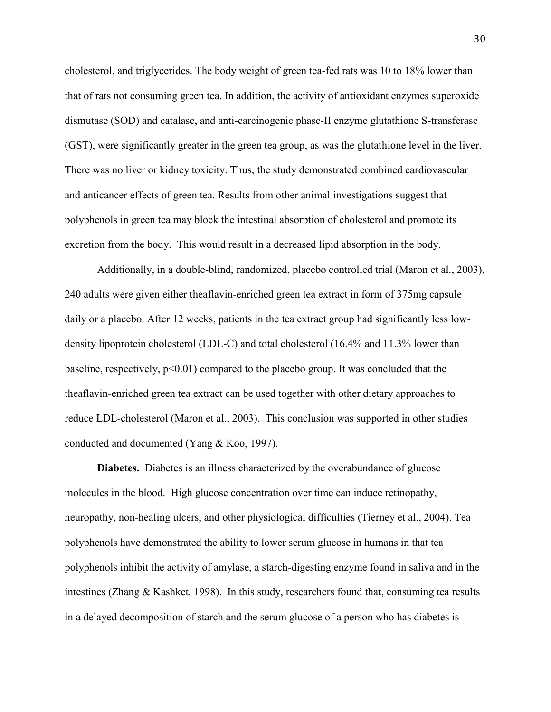cholesterol, and triglycerides. The body weight of green tea-fed rats was 10 to 18% lower than that of rats not consuming green tea. In addition, the activity of antioxidant enzymes superoxide dismutase (SOD) and catalase, and anti-carcinogenic phase-II enzyme glutathione S-transferase (GST), were significantly greater in the green tea group, as was the glutathione level in the liver. There was no liver or kidney toxicity. Thus, the study demonstrated combined cardiovascular and anticancer effects of green tea. Results from other animal investigations suggest that polyphenols in green tea may block the intestinal absorption of cholesterol and promote its excretion from the body. This would result in a decreased lipid absorption in the body.

Additionally, in a double-blind, randomized, placebo controlled trial (Maron et al., 2003), 240 adults were given either theaflavin-enriched green tea extract in form of 375mg capsule daily or a placebo. After 12 weeks, patients in the tea extract group had significantly less lowdensity lipoprotein cholesterol (LDL-C) and total cholesterol (16.4% and 11.3% lower than baseline, respectively,  $p<0.01$ ) compared to the placebo group. It was concluded that the theaflavin-enriched green tea extract can be used together with other dietary approaches to reduce LDL-cholesterol (Maron et al., 2003). This conclusion was supported in other studies conducted and documented (Yang & Koo, 1997).

**Diabetes.** Diabetes is an illness characterized by the overabundance of glucose molecules in the blood. High glucose concentration over time can induce retinopathy, neuropathy, non-healing ulcers, and other physiological difficulties (Tierney et al., 2004). Tea polyphenols have demonstrated the ability to lower serum glucose in humans in that tea polyphenols inhibit the activity of amylase, a starch-digesting enzyme found in saliva and in the intestines (Zhang & Kashket, 1998). In this study, researchers found that, consuming tea results in a delayed decomposition of starch and the serum glucose of a person who has diabetes is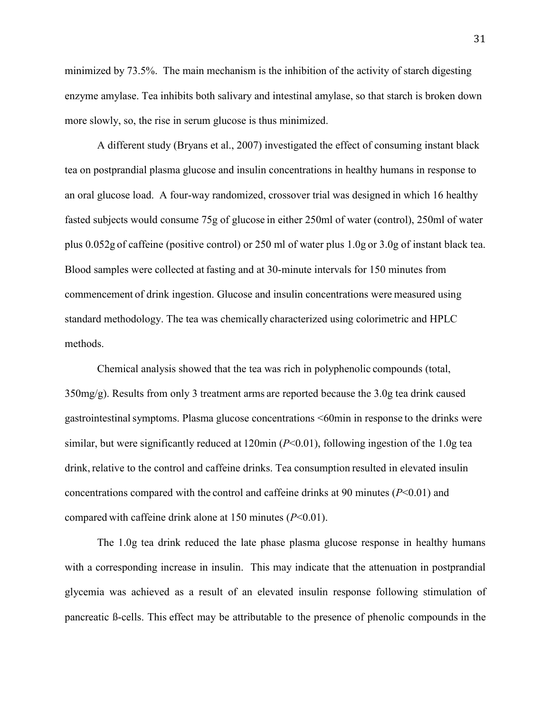minimized by 73.5%. The main mechanism is the inhibition of the activity of starch digesting enzyme amylase. Tea inhibits both salivary and intestinal amylase, so that starch is broken down more slowly, so, the rise in serum glucose is thus minimized.

A different study (Bryans et al., 2007) investigated the effect of consuming instant black tea on postprandial plasma glucose and insulin concentrations in healthy humans in response to an oral glucose load. A four-way randomized, crossover trial was designed in which 16 healthy fasted subjects would consume 75g of glucose in either 250ml of water (control), 250ml of water plus 0.052g of caffeine (positive control) or 250 ml of water plus 1.0g or 3.0g of instant black tea. Blood samples were collected at fasting and at 30-minute intervals for 150 minutes from commencement of drink ingestion. Glucose and insulin concentrations were measured using standard methodology. The tea was chemically characterized using colorimetric and HPLC methods.

Chemical analysis showed that the tea was rich in polyphenolic compounds (total, 350mg/g). Results from only 3 treatment arms are reported because the 3.0g tea drink caused gastrointestinalsymptoms. Plasma glucose concentrations <60min in response to the drinks were similar, but were significantly reduced at 120min (*P*<0.01), following ingestion of the 1.0g tea drink, relative to the control and caffeine drinks. Tea consumption resulted in elevated insulin concentrations compared with the control and caffeine drinks at 90 minutes (*P*<0.01) and compared with caffeine drink alone at 150 minutes (*P*<0.01).

The 1.0g tea drink reduced the late phase plasma glucose response in healthy humans with a corresponding increase in insulin. This may indicate that the attenuation in postprandial glycemia was achieved as a result of an elevated insulin response following stimulation of pancreatic ß-cells. This effect may be attributable to the presence of phenolic compounds in the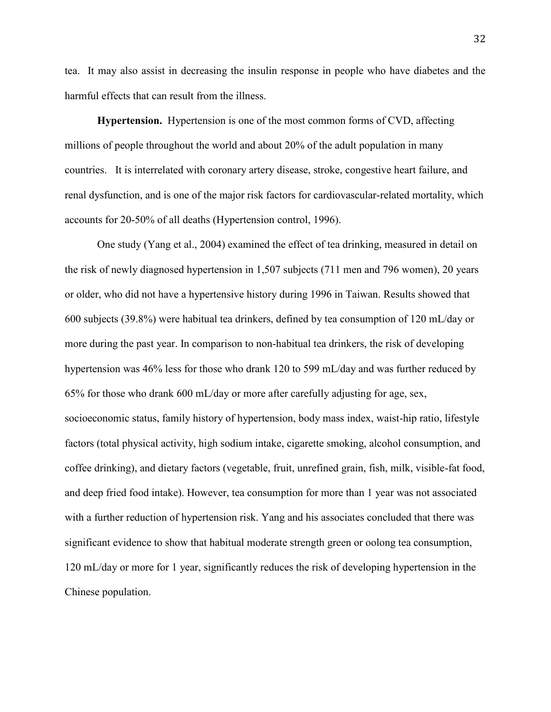tea. It may also assist in decreasing the insulin response in people who have diabetes and the harmful effects that can result from the illness.

**Hypertension.** Hypertension is one of the most common forms of CVD, affecting millions of people throughout the world and about 20% of the adult population in many countries. It is interrelated with coronary artery disease, stroke, congestive heart failure, and renal dysfunction, and is one of the major risk factors for cardiovascular-related mortality, which accounts for 20-50% of all deaths (Hypertension control, 1996).

One study (Yang et al., 2004) examined the effect of tea drinking, measured in detail on the risk of newly diagnosed hypertension in 1,507 subjects (711 men and 796 women), 20 years or older, who did not have a hypertensive history during 1996 in Taiwan. Results showed that 600 subjects (39.8%) were habitual tea drinkers, defined by tea consumption of 120 mL/day or more during the past year. In comparison to non-habitual tea drinkers, the risk of developing hypertension was 46% less for those who drank 120 to 599 mL/day and was further reduced by 65% for those who drank 600 mL/day or more after carefully adjusting for age, sex, socioeconomic status, family history of hypertension, body mass index, waist-hip ratio, lifestyle factors (total physical activity, high sodium intake, cigarette smoking, alcohol consumption, and coffee drinking), and dietary factors (vegetable, fruit, unrefined grain, fish, milk, visible-fat food, and deep fried food intake). However, tea consumption for more than 1 year was not associated with a further reduction of hypertension risk. Yang and his associates concluded that there was significant evidence to show that habitual moderate strength green or oolong tea consumption, 120 mL/day or more for 1 year, significantly reduces the risk of developing hypertension in the Chinese population.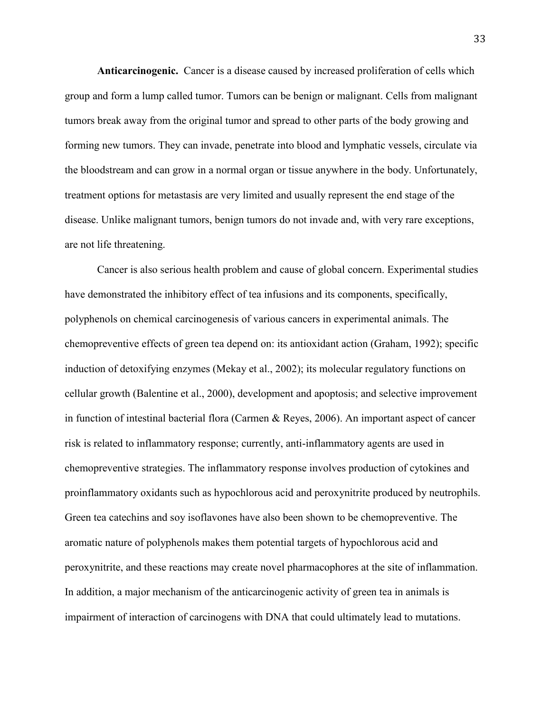**Anticarcinogenic.** Cancer is a disease caused by increased proliferation of cells which group and form a lump called tumor. Tumors can be benign or malignant. Cells from malignant tumors break away from the original tumor and spread to other parts of the body growing and forming new tumors. They can invade, penetrate into blood and lymphatic vessels, circulate via the bloodstream and can grow in a normal organ or tissue anywhere in the body. Unfortunately, treatment options for metastasis are very limited and usually represent the end stage of the disease. Unlike malignant tumors, benign tumors do not invade and, with very rare exceptions, are not life threatening.

Cancer is also serious health problem and cause of global concern. Experimental studies have demonstrated the inhibitory effect of tea infusions and its components, specifically, polyphenols on chemical carcinogenesis of various cancers in experimental animals. The chemopreventive effects of green tea depend on: its antioxidant action (Graham, 1992); specific induction of detoxifying enzymes (Mekay et al., 2002); its molecular regulatory functions on cellular growth (Balentine et al., 2000), development and apoptosis; and selective improvement in function of intestinal bacterial flora (Carmen & Reyes, 2006). An important aspect of cancer risk is related to inflammatory response; currently, anti-inflammatory agents are used in chemopreventive strategies. The inflammatory response involves production of cytokines and proinflammatory oxidants such as hypochlorous acid and peroxynitrite produced by neutrophils. Green tea catechins and soy isoflavones have also been shown to be chemopreventive. The aromatic nature of polyphenols makes them potential targets of hypochlorous acid and peroxynitrite, and these reactions may create novel pharmacophores at the site of inflammation. In addition, a major mechanism of the anticarcinogenic activity of green tea in animals is impairment of interaction of carcinogens with DNA that could ultimately lead to mutations.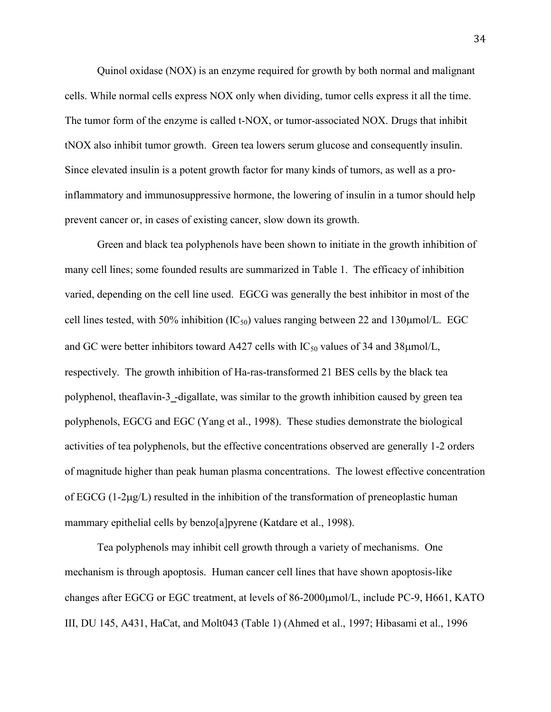Quinol oxidase (NOX) is an enzyme required for growth by both normal and malignant cells. While normal cells express NOX only when dividing, tumor cells express it all the time. The tumor form of the enzyme is called t-NOX, or tumor-associated NOX. Drugs that inhibit tNOX also inhibit tumor growth. Green tea lowers serum glucose and consequently insulin. Since elevated insulin is a potent growth factor for many kinds of tumors, as well as a proinflammatory and immunosuppressive hormone, the lowering of insulin in a tumor should help prevent cancer or, in cases of existing cancer, slow down its growth.

Green and black tea polyphenols have been shown to initiate in the growth inhibition of many cell lines; some founded results are summarized in Table 1. The efficacy of inhibition varied, depending on the cell line used. EGCG was generally the best inhibitor in most of the cell lines tested, with 50% inhibition  $(IC_{50})$  values ranging between 22 and 130 $\mu$ mol/L. EGC and GC were better inhibitors toward A427 cells with  $IC_{50}$  values of 34 and 38 $\mu$ mol/L, respectively. The growth inhibition of Ha-ras-transformed 21 BES cells by the black tea polyphenol, theaflavin-3‗-digallate, was similar to the growth inhibition caused by green tea polyphenols, EGCG and EGC (Yang et al., 1998). These studies demonstrate the biological activities of tea polyphenols, but the effective concentrations observed are generally 1-2 orders of magnitude higher than peak human plasma concentrations. The lowest effective concentration of EGCG  $(1-2\mu g/L)$  resulted in the inhibition of the transformation of preneoplastic human mammary epithelial cells by benzo[a]pyrene (Katdare et al., 1998).

Tea polyphenols may inhibit cell growth through a variety of mechanisms. One mechanism is through apoptosis. Human cancer cell lines that have shown apoptosis-like changes after EGCG or EGC treatment, at levels of 86-2000µmol/L, include PC-9, H661, KATO III, DU 145, A431, HaCat, and Molt043 (Table 1) (Ahmed et al., 1997; Hibasami et al., 1996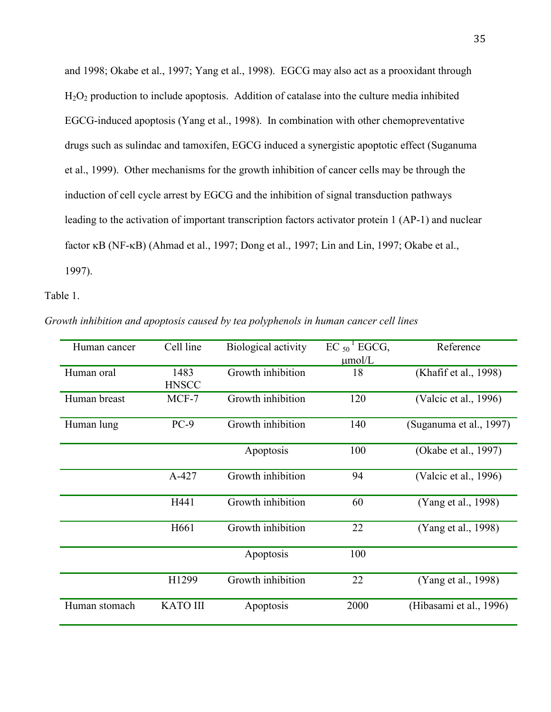and 1998; Okabe et al., 1997; Yang et al., 1998). EGCG may also act as a prooxidant through H2O2 production to include apoptosis. Addition of catalase into the culture media inhibited EGCG-induced apoptosis (Yang et al., 1998). In combination with other chemopreventative drugs such as sulindac and tamoxifen, EGCG induced a synergistic apoptotic effect (Suganuma et al., 1999). Other mechanisms for the growth inhibition of cancer cells may be through the induction of cell cycle arrest by EGCG and the inhibition of signal transduction pathways leading to the activation of important transcription factors activator protein 1 (AP-1) and nuclear factor  $\kappa$ B (NF- $\kappa$ B) (Ahmad et al., 1997; Dong et al., 1997; Lin and Lin, 1997; Okabe et al., 1997).

Table 1.

*Growth inhibition and apoptosis caused by tea polyphenols in human cancer cell lines* 

| Human cancer  | Cell line       | Biological activity | $EC_{50}$ <sup>1</sup> EGCG, | Reference               |
|---------------|-----------------|---------------------|------------------------------|-------------------------|
|               |                 |                     | $\mu$ mol/L                  |                         |
| Human oral    | 1483            | Growth inhibition   | 18                           | (Khafif et al., 1998)   |
|               | <b>HNSCC</b>    |                     |                              |                         |
| Human breast  | MCF-7           | Growth inhibition   | 120                          | (Valcic et al., 1996)   |
|               |                 |                     |                              |                         |
| Human lung    | $PC-9$          | Growth inhibition   | 140                          | (Suganuma et al., 1997) |
|               |                 | Apoptosis           | 100                          | (Okabe et al., 1997)    |
|               | A-427           | Growth inhibition   | 94                           | (Valcic et al., 1996)   |
|               |                 |                     |                              |                         |
|               | H441            | Growth inhibition   | 60                           | (Yang et al., 1998)     |
|               | H661            | Growth inhibition   | 22                           | (Yang et al., 1998)     |
|               |                 |                     |                              |                         |
|               |                 | Apoptosis           | 100                          |                         |
|               |                 |                     |                              |                         |
|               | H1299           | Growth inhibition   | 22                           | (Yang et al., 1998)     |
| Human stomach | <b>KATO III</b> | Apoptosis           | 2000                         | (Hibasami et al., 1996) |
|               |                 |                     |                              |                         |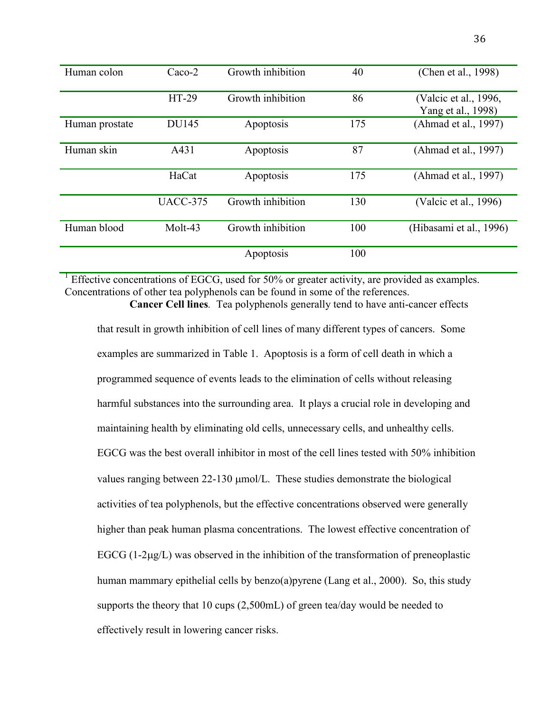| Human colon    | $Caco-2$        | Growth inhibition | 40  | (Chen et al., 1998)                         |
|----------------|-----------------|-------------------|-----|---------------------------------------------|
|                | HT-29           | Growth inhibition | 86  | (Valcic et al., 1996,<br>Yang et al., 1998) |
| Human prostate | <b>DU145</b>    | Apoptosis         | 175 | (Ahmad et al., 1997)                        |
| Human skin     | A431            | Apoptosis         | 87  | (Ahmad et al., 1997)                        |
|                | HaCat           | Apoptosis         | 175 | (Ahmad et al., 1997)                        |
|                | <b>UACC-375</b> | Growth inhibition | 130 | (Valcic et al., 1996)                       |
| Human blood    | Molt-43         | Growth inhibition | 100 | (Hibasami et al., 1996)                     |
|                |                 | Apoptosis         | 100 |                                             |

<sup>1</sup> Effective concentrations of EGCG, used for 50% or greater activity, are provided as examples. Concentrations of other tea polyphenols can be found in some of the references. **Cancer Cell lines***.* Tea polyphenols generally tend to have anti-cancer effects

that result in growth inhibition of cell lines of many different types of cancers. Some examples are summarized in Table 1. Apoptosis is a form of cell death in which a programmed sequence of events leads to the elimination of cells without releasing harmful substances into the surrounding area. It plays a crucial role in developing and maintaining health by eliminating old cells, unnecessary cells, and unhealthy cells. EGCG was the best overall inhibitor in most of the cell lines tested with 50% inhibition values ranging between  $22-130 \mu \text{mol/L}$ . These studies demonstrate the biological activities of tea polyphenols, but the effective concentrations observed were generally higher than peak human plasma concentrations. The lowest effective concentration of EGCG  $(1-2\mu g/L)$  was observed in the inhibition of the transformation of preneoplastic human mammary epithelial cells by benzo(a)pyrene (Lang et al., 2000). So, this study supports the theory that 10 cups (2,500mL) of green tea/day would be needed to effectively result in lowering cancer risks.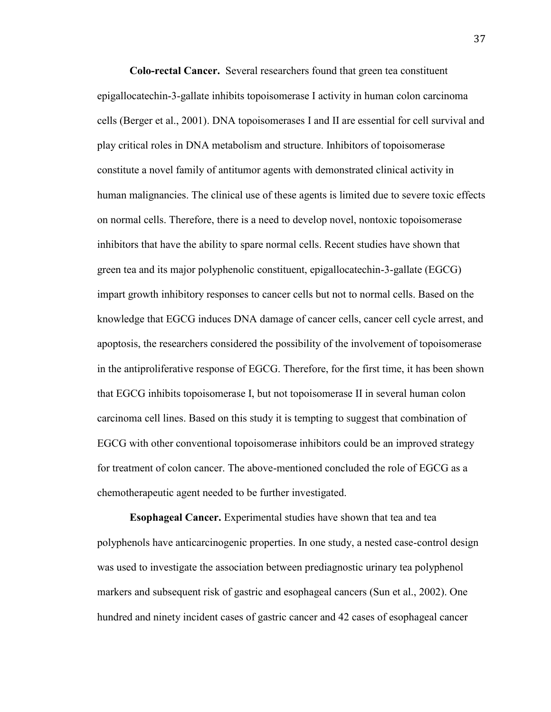**Colo-rectal Cancer.**Several researchers found that green tea constituent epigallocatechin-3-gallate inhibits topoisomerase I activity in human colon carcinoma cells (Berger et al., 2001). DNA topoisomerases I and II are essential for cell survival and play critical roles in DNA metabolism and structure. Inhibitors of topoisomerase constitute a novel family of antitumor agents with demonstrated clinical activity in human malignancies. The clinical use of these agents is limited due to severe toxic effects on normal cells. Therefore, there is a need to develop novel, nontoxic topoisomerase inhibitors that have the ability to spare normal cells. Recent studies have shown that green tea and its major polyphenolic constituent, epigallocatechin-3-gallate (EGCG) impart growth inhibitory responses to cancer cells but not to normal cells. Based on the knowledge that EGCG induces DNA damage of cancer cells, cancer cell cycle arrest, and apoptosis, the researchers considered the possibility of the involvement of topoisomerase in the antiproliferative response of EGCG. Therefore, for the first time, it has been shown that EGCG inhibits topoisomerase I, but not topoisomerase II in several human colon carcinoma cell lines. Based on this study it is tempting to suggest that combination of EGCG with other conventional topoisomerase inhibitors could be an improved strategy for treatment of colon cancer. The above-mentioned concluded the role of EGCG as a chemotherapeutic agent needed to be further investigated.

**Esophageal Cancer.** Experimental studies have shown that tea and tea polyphenols have anticarcinogenic properties. In one study, a nested case-control design was used to investigate the association between prediagnostic urinary tea polyphenol markers and subsequent risk of gastric and esophageal cancers (Sun et al., 2002). One hundred and ninety incident cases of gastric cancer and 42 cases of esophageal cancer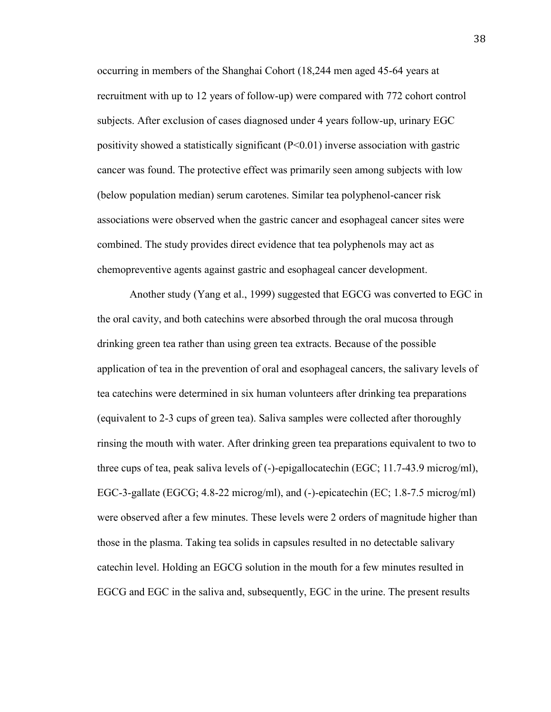occurring in members of the Shanghai Cohort (18,244 men aged 45-64 years at recruitment with up to 12 years of follow-up) were compared with 772 cohort control subjects. After exclusion of cases diagnosed under 4 years follow-up, urinary EGC positivity showed a statistically significant  $(P<0.01)$  inverse association with gastric cancer was found. The protective effect was primarily seen among subjects with low (below population median) serum carotenes. Similar tea polyphenol-cancer risk associations were observed when the gastric cancer and esophageal cancer sites were combined. The study provides direct evidence that tea polyphenols may act as chemopreventive agents against gastric and esophageal cancer development.

Another study (Yang et al., 1999) suggested that EGCG was converted to EGC in the oral cavity, and both catechins were absorbed through the oral mucosa through drinking green tea rather than using green tea extracts. Because of the possible application of tea in the prevention of oral and esophageal cancers, the salivary levels of tea catechins were determined in six human volunteers after drinking tea preparations (equivalent to 2-3 cups of green tea). Saliva samples were collected after thoroughly rinsing the mouth with water. After drinking green tea preparations equivalent to two to three cups of tea, peak saliva levels of (-)-epigallocatechin (EGC; 11.7-43.9 microg/ml), EGC-3-gallate (EGCG; 4.8-22 microg/ml), and (-)-epicatechin (EC; 1.8-7.5 microg/ml) were observed after a few minutes. These levels were 2 orders of magnitude higher than those in the plasma. Taking tea solids in capsules resulted in no detectable salivary catechin level. Holding an EGCG solution in the mouth for a few minutes resulted in EGCG and EGC in the saliva and, subsequently, EGC in the urine. The present results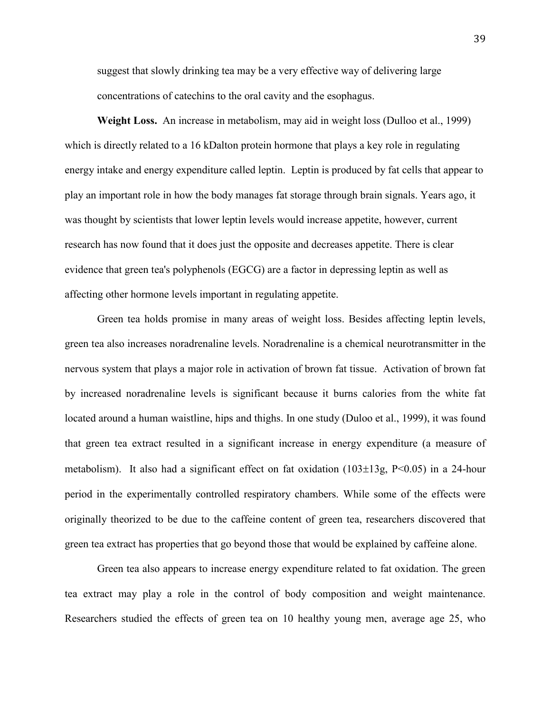suggest that slowly drinking tea may be a very effective way of delivering large concentrations of catechins to the oral cavity and the esophagus.

**Weight Loss.** An increase in metabolism, may aid in weight loss (Dulloo et al., 1999) which is directly related to a 16 kDalton protein hormone that plays a key role in regulating energy intake and energy expenditure called leptin. Leptin is produced by fat cells that appear to play an important role in how the body manages fat storage through brain signals. Years ago, it was thought by scientists that lower leptin levels would increase appetite, however, current research has now found that it does just the opposite and decreases appetite. There is clear evidence that green tea's polyphenols (EGCG) are a factor in depressing leptin as well as affecting other hormone levels important in regulating appetite.

Green tea holds promise in many areas of weight loss. Besides affecting leptin levels, green tea also increases noradrenaline levels. Noradrenaline is a chemical neurotransmitter in the nervous system that plays a major role in activation of brown fat tissue. Activation of brown fat by increased noradrenaline levels is significant because it burns calories from the white fat located around a human waistline, hips and thighs. In one study (Duloo et al., 1999), it was found that green tea extract resulted in a significant increase in energy expenditure (a measure of metabolism). It also had a significant effect on fat oxidation  $(103\pm13g, P<0.05)$  in a 24-hour period in the experimentally controlled respiratory chambers. While some of the effects were originally theorized to be due to the caffeine content of green tea, researchers discovered that green tea extract has properties that go beyond those that would be explained by caffeine alone.

Green tea also appears to increase energy expenditure related to fat oxidation. The green tea extract may play a role in the control of body composition and weight maintenance. Researchers studied the effects of green tea on 10 healthy young men, average age 25, who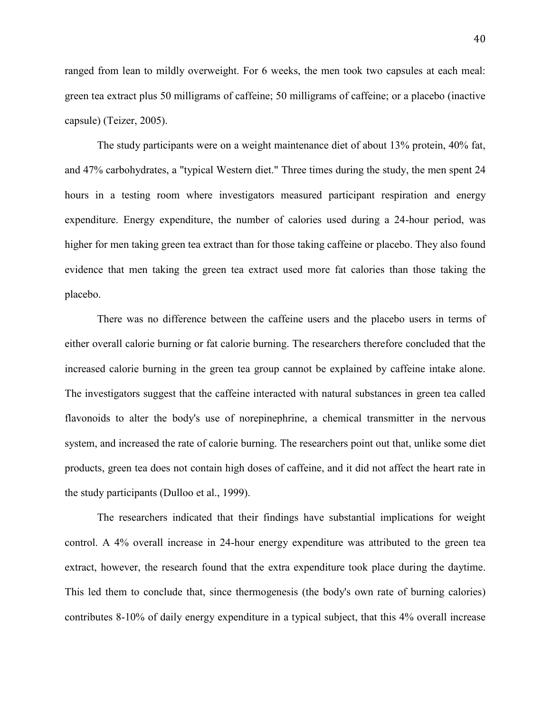ranged from lean to mildly overweight. For 6 weeks, the men took two capsules at each meal: green tea extract plus 50 milligrams of caffeine; 50 milligrams of caffeine; or a placebo (inactive capsule) (Teizer, 2005).

The study participants were on a weight maintenance diet of about 13% protein, 40% fat, and 47% carbohydrates, a "typical Western diet." Three times during the study, the men spent 24 hours in a testing room where investigators measured participant respiration and energy expenditure. Energy expenditure, the number of calories used during a 24-hour period, was higher for men taking green tea extract than for those taking caffeine or placebo. They also found evidence that men taking the green tea extract used more fat calories than those taking the placebo.

There was no difference between the caffeine users and the placebo users in terms of either overall calorie burning or fat calorie burning. The researchers therefore concluded that the increased calorie burning in the green tea group cannot be explained by caffeine intake alone. The investigators suggest that the caffeine interacted with natural substances in green tea called flavonoids to alter the body's use of norepinephrine, a chemical transmitter in the nervous system, and increased the rate of calorie burning. The researchers point out that, unlike some diet products, green tea does not contain high doses of caffeine, and it did not affect the heart rate in the study participants (Dulloo et al., 1999).

The researchers indicated that their findings have substantial implications for weight control. A 4% overall increase in 24-hour energy expenditure was attributed to the green tea extract, however, the research found that the extra expenditure took place during the daytime. This led them to conclude that, since thermogenesis (the body's own rate of burning calories) contributes 8-10% of daily energy expenditure in a typical subject, that this 4% overall increase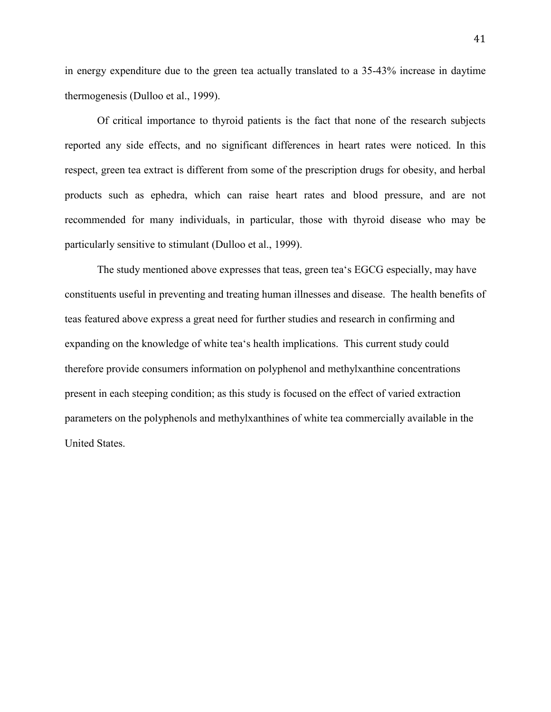in energy expenditure due to the green tea actually translated to a 35-43% increase in daytime thermogenesis (Dulloo et al., 1999).

Of critical importance to thyroid patients is the fact that none of the research subjects reported any side effects, and no significant differences in heart rates were noticed. In this respect, green tea extract is different from some of the prescription drugs for obesity, and herbal products such as ephedra, which can raise heart rates and blood pressure, and are not recommended for many individuals, in particular, those with thyroid disease who may be particularly sensitive to stimulant (Dulloo et al., 1999).

 The study mentioned above expresses that teas, green tea's EGCG especially, may have constituents useful in preventing and treating human illnesses and disease. The health benefits of teas featured above express a great need for further studies and research in confirming and expanding on the knowledge of white tea's health implications. This current study could therefore provide consumers information on polyphenol and methylxanthine concentrations present in each steeping condition; as this study is focused on the effect of varied extraction parameters on the polyphenols and methylxanthines of white tea commercially available in the United States.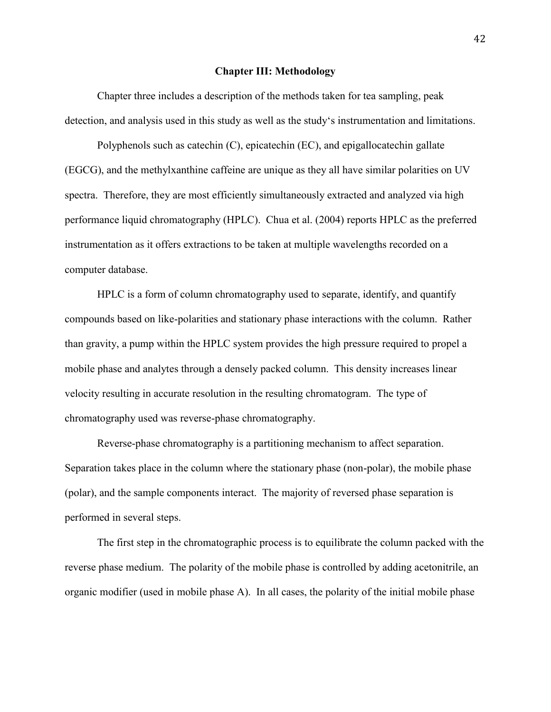## **Chapter III: Methodology**

Chapter three includes a description of the methods taken for tea sampling, peak detection, and analysis used in this study as well as the study's instrumentation and limitations.

Polyphenols such as catechin (C), epicatechin (EC), and epigallocatechin gallate (EGCG), and the methylxanthine caffeine are unique as they all have similar polarities on UV spectra. Therefore, they are most efficiently simultaneously extracted and analyzed via high performance liquid chromatography (HPLC). Chua et al. (2004) reports HPLC as the preferred instrumentation as it offers extractions to be taken at multiple wavelengths recorded on a computer database.

HPLC is a form of column chromatography used to separate, identify, and quantify compounds based on like-polarities and stationary phase interactions with the column. Rather than gravity, a pump within the HPLC system provides the high pressure required to propel a mobile phase and analytes through a densely packed column. This density increases linear velocity resulting in accurate resolution in the resulting chromatogram. The type of chromatography used was reverse-phase chromatography.

Reverse-phase chromatography is a partitioning mechanism to affect separation. Separation takes place in the column where the stationary phase (non-polar), the mobile phase (polar), and the sample components interact. The majority of reversed phase separation is performed in several steps.

The first step in the chromatographic process is to equilibrate the column packed with the reverse phase medium. The polarity of the mobile phase is controlled by adding acetonitrile, an organic modifier (used in mobile phase A). In all cases, the polarity of the initial mobile phase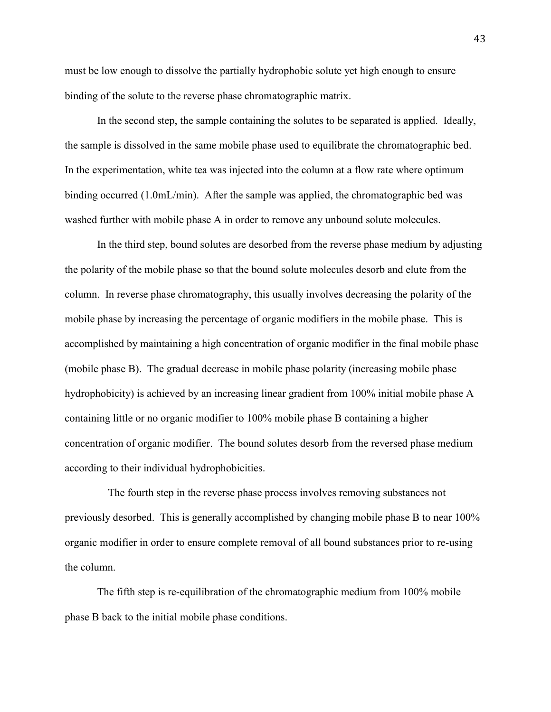must be low enough to dissolve the partially hydrophobic solute yet high enough to ensure binding of the solute to the reverse phase chromatographic matrix.

In the second step, the sample containing the solutes to be separated is applied. Ideally, the sample is dissolved in the same mobile phase used to equilibrate the chromatographic bed. In the experimentation, white tea was injected into the column at a flow rate where optimum binding occurred (1.0mL/min). After the sample was applied, the chromatographic bed was washed further with mobile phase A in order to remove any unbound solute molecules.

In the third step, bound solutes are desorbed from the reverse phase medium by adjusting the polarity of the mobile phase so that the bound solute molecules desorb and elute from the column. In reverse phase chromatography, this usually involves decreasing the polarity of the mobile phase by increasing the percentage of organic modifiers in the mobile phase. This is accomplished by maintaining a high concentration of organic modifier in the final mobile phase (mobile phase B). The gradual decrease in mobile phase polarity (increasing mobile phase hydrophobicity) is achieved by an increasing linear gradient from 100% initial mobile phase A containing little or no organic modifier to 100% mobile phase B containing a higher concentration of organic modifier. The bound solutes desorb from the reversed phase medium according to their individual hydrophobicities.

The fourth step in the reverse phase process involves removing substances not previously desorbed. This is generally accomplished by changing mobile phase B to near 100% organic modifier in order to ensure complete removal of all bound substances prior to re-using the column.

 The fifth step is re-equilibration of the chromatographic medium from 100% mobile phase B back to the initial mobile phase conditions.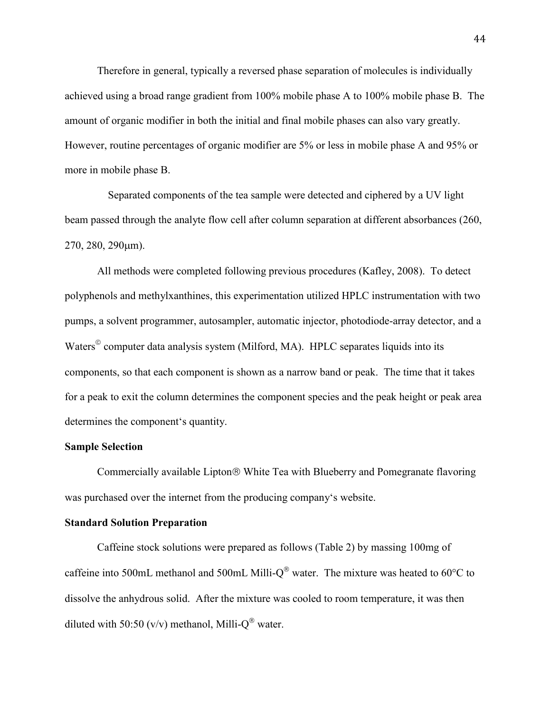Therefore in general, typically a reversed phase separation of molecules is individually achieved using a broad range gradient from 100% mobile phase A to 100% mobile phase B. The amount of organic modifier in both the initial and final mobile phases can also vary greatly. However, routine percentages of organic modifier are 5% or less in mobile phase A and 95% or more in mobile phase B.

Separated components of the tea sample were detected and ciphered by a UV light beam passed through the analyte flow cell after column separation at different absorbances (260, 270, 280, 290m).

All methods were completed following previous procedures (Kafley, 2008). To detect polyphenols and methylxanthines, this experimentation utilized HPLC instrumentation with two pumps, a solvent programmer, autosampler, automatic injector, photodiode-array detector, and a Waters<sup>©</sup> computer data analysis system (Milford, MA). HPLC separates liquids into its components, so that each component is shown as a narrow band or peak. The time that it takes for a peak to exit the column determines the component species and the peak height or peak area determines the component's quantity.

# **Sample Selection**

Commercially available Lipton<sup>®</sup> White Tea with Blueberry and Pomegranate flavoring was purchased over the internet from the producing company's website.

### **Standard Solution Preparation**

Caffeine stock solutions were prepared as follows (Table 2) by massing 100mg of caffeine into 500mL methanol and 500mL Milli- $Q^{\circledast}$  water. The mixture was heated to 60 $^{\circ}$ C to dissolve the anhydrous solid. After the mixture was cooled to room temperature, it was then diluted with 50:50 (v/v) methanol, Milli- $Q^{\circledast}$  water.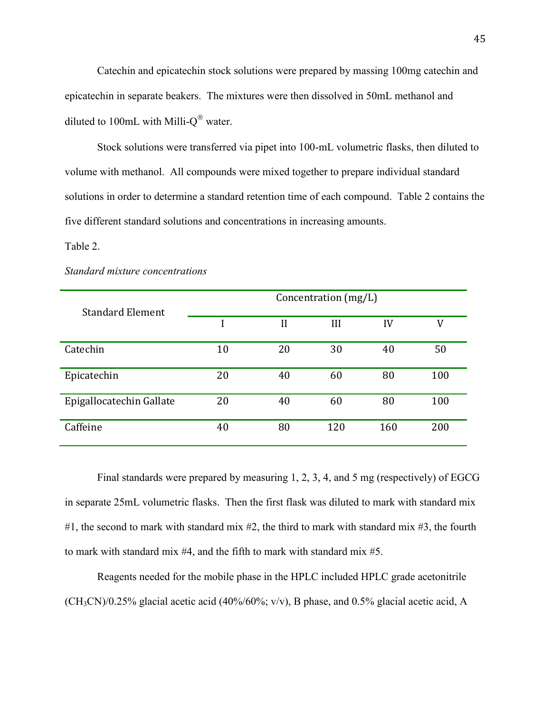Catechin and epicatechin stock solutions were prepared by massing 100mg catechin and epicatechin in separate beakers. The mixtures were then dissolved in 50mL methanol and diluted to 100mL with Milli- $O^{\circledast}$  water.

Stock solutions were transferred via pipet into 100-mL volumetric flasks, then diluted to volume with methanol. All compounds were mixed together to prepare individual standard solutions in order to determine a standard retention time of each compound. Table 2 contains the five different standard solutions and concentrations in increasing amounts.

## Table 2.

#### *Standard mixture concentrations*

|                          | Concentration (mg/L) |    |     |     |     |
|--------------------------|----------------------|----|-----|-----|-----|
| <b>Standard Element</b>  |                      | H  | III | IV  | V   |
| Catechin                 | 10                   | 20 | 30  | 40  | 50  |
| Epicatechin              | 20                   | 40 | 60  | 80  | 100 |
| Epigallocatechin Gallate | 20                   | 40 | 60  | 80  | 100 |
| Caffeine                 | 40                   | 80 | 120 | 160 | 200 |

Final standards were prepared by measuring 1, 2, 3, 4, and 5 mg (respectively) of EGCG in separate 25mL volumetric flasks. Then the first flask was diluted to mark with standard mix #1, the second to mark with standard mix #2, the third to mark with standard mix #3, the fourth to mark with standard mix #4, and the fifth to mark with standard mix #5.

Reagents needed for the mobile phase in the HPLC included HPLC grade acetonitrile  $(CH<sub>3</sub>CN)/0.25\%$  glacial acetic acid (40%/60%; v/v), B phase, and 0.5% glacial acetic acid, A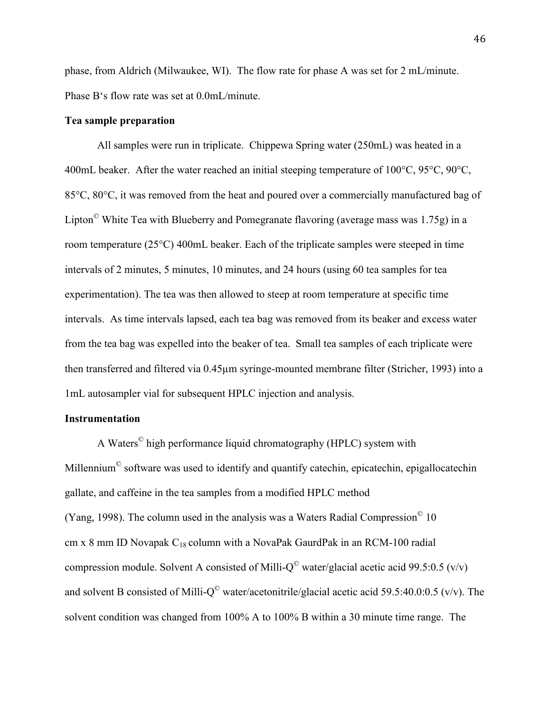phase, from Aldrich (Milwaukee, WI). The flow rate for phase A was set for 2 mL/minute. Phase B's flow rate was set at 0.0mL/minute.

# **Tea sample preparation**

All samples were run in triplicate. Chippewa Spring water (250mL) was heated in a 400mL beaker. After the water reached an initial steeping temperature of 100°C, 95°C, 90°C, 85°C, 80°C, it was removed from the heat and poured over a commercially manufactured bag of Lipton© White Tea with Blueberry and Pomegranate flavoring (average mass was 1.75g) in a room temperature (25°C) 400mL beaker. Each of the triplicate samples were steeped in time intervals of 2 minutes, 5 minutes, 10 minutes, and 24 hours (using 60 tea samples for tea experimentation). The tea was then allowed to steep at room temperature at specific time intervals. As time intervals lapsed, each tea bag was removed from its beaker and excess water from the tea bag was expelled into the beaker of tea. Small tea samples of each triplicate were then transferred and filtered via 0.45µm syringe-mounted membrane filter (Stricher, 1993) into a 1mL autosampler vial for subsequent HPLC injection and analysis.

## **Instrumentation**

A Waters<sup>©</sup> high performance liquid chromatography (HPLC) system with Millennium<sup>©</sup> software was used to identify and quantify catechin, epicatechin, epigallocatechin gallate, and caffeine in the tea samples from a modified HPLC method (Yang, 1998). The column used in the analysis was a Waters Radial Compression $^{\circ}$  10 cm x 8 mm ID Novapak  $C_{18}$  column with a NovaPak GaurdPak in an RCM-100 radial compression module. Solvent A consisted of Milli- $Q^{\circ}$  water/glacial acetic acid 99.5:0.5 (v/v) and solvent B consisted of Milli- $Q^{\circ}$  water/acetonitrile/glacial acetic acid 59.5:40.0:0.5 (v/v). The solvent condition was changed from 100% A to 100% B within a 30 minute time range. The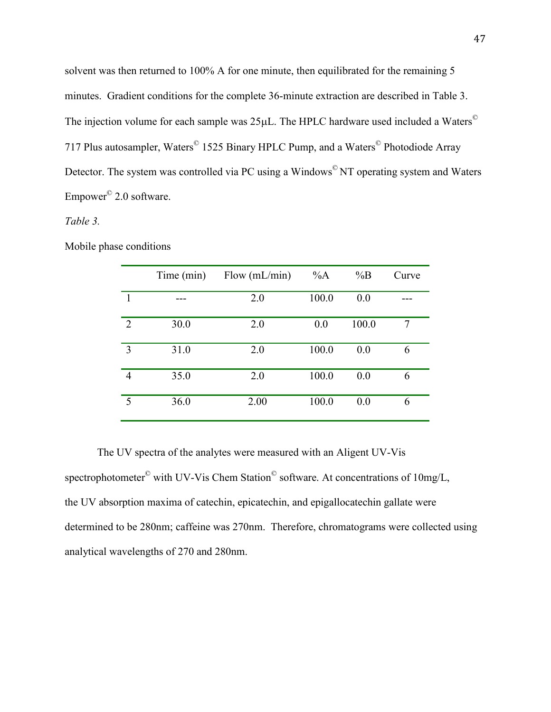solvent was then returned to 100% A for one minute, then equilibrated for the remaining 5 minutes. Gradient conditions for the complete 36-minute extraction are described in Table 3. The injection volume for each sample was  $25\mu$ L. The HPLC hardware used included a Waters<sup>©</sup> 717 Plus autosampler, Waters<sup>©</sup> 1525 Binary HPLC Pump, and a Waters<sup>©</sup> Photodiode Array Detector. The system was controlled via PC using a Windows<sup>©</sup> NT operating system and Waters Empower<sup>©</sup> 2.0 software.

# *Table 3.*

|                | Time (min) | Flow $(mL/min)$ | $\%A$ | $\%B$ | Curve |
|----------------|------------|-----------------|-------|-------|-------|
| 1              |            | 2.0             | 100.0 | 0.0   |       |
| $\overline{2}$ | 30.0       | 2.0             | 0.0   | 100.0 | 7     |
| 3              | 31.0       | 2.0             | 100.0 | 0.0   | 6     |
| 4              | 35.0       | 2.0             | 100.0 | 0.0   | 6     |
| 5              | 36.0       | 2.00            | 100.0 | 0.0   | 6     |

Mobile phase conditions

The UV spectra of the analytes were measured with an Aligent UV-Vis spectrophotometer<sup>©</sup> with UV-Vis Chem Station<sup>©</sup> software. At concentrations of 10mg/L, the UV absorption maxima of catechin, epicatechin, and epigallocatechin gallate were determined to be 280nm; caffeine was 270nm. Therefore, chromatograms were collected using analytical wavelengths of 270 and 280nm.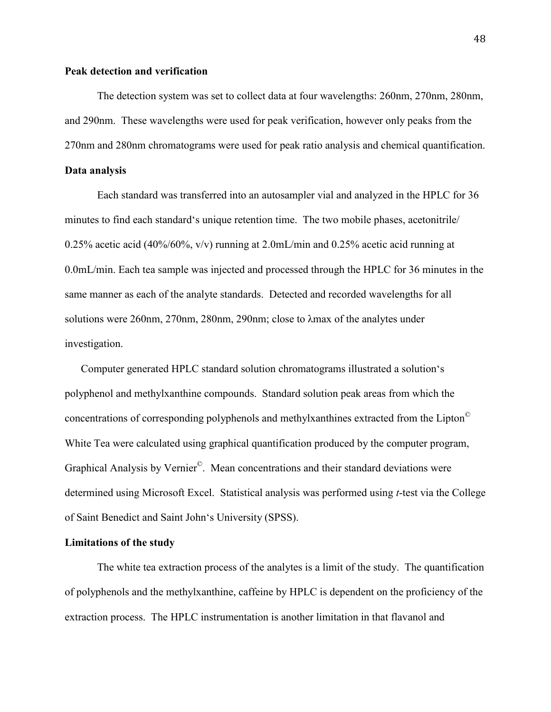# **Peak detection and verification**

 The detection system was set to collect data at four wavelengths: 260nm, 270nm, 280nm, and 290nm. These wavelengths were used for peak verification, however only peaks from the 270nm and 280nm chromatograms were used for peak ratio analysis and chemical quantification.

# **Data analysis**

Each standard was transferred into an autosampler vial and analyzed in the HPLC for 36 minutes to find each standard's unique retention time. The two mobile phases, acetonitrile/ 0.25% acetic acid (40%/60%,  $v/v$ ) running at 2.0mL/min and 0.25% acetic acid running at 0.0mL/min. Each tea sample was injected and processed through the HPLC for 36 minutes in the same manner as each of the analyte standards. Detected and recorded wavelengths for all solutions were 260nm, 270nm, 280nm, 290nm; close to λmax of the analytes under investigation.

Computer generated HPLC standard solution chromatograms illustrated a solution's polyphenol and methylxanthine compounds. Standard solution peak areas from which the concentrations of corresponding polyphenols and methylxanthines extracted from the Lipton© White Tea were calculated using graphical quantification produced by the computer program, Graphical Analysis by Vernier<sup>©</sup>. Mean concentrations and their standard deviations were determined using Microsoft Excel. Statistical analysis was performed using *t*-test via the College of Saint Benedict and Saint John's University (SPSS).

## **Limitations of the study**

 The white tea extraction process of the analytes is a limit of the study. The quantification of polyphenols and the methylxanthine, caffeine by HPLC is dependent on the proficiency of the extraction process. The HPLC instrumentation is another limitation in that flavanol and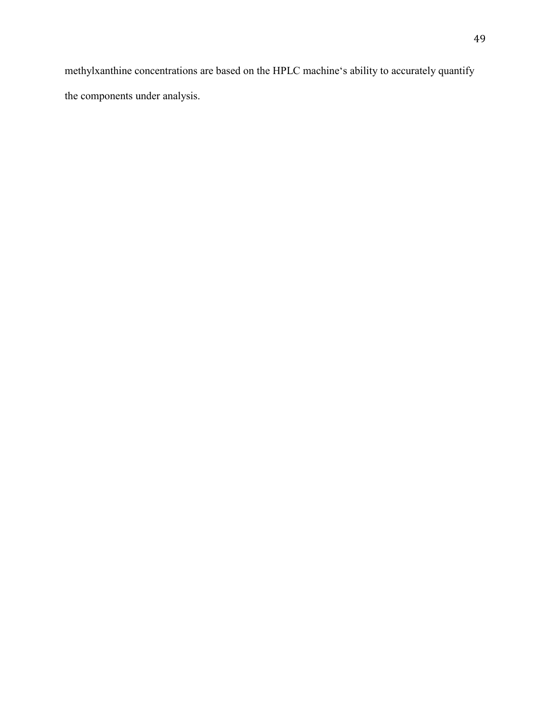methylxanthine concentrations are based on the HPLC machine's ability to accurately quantify the components under analysis.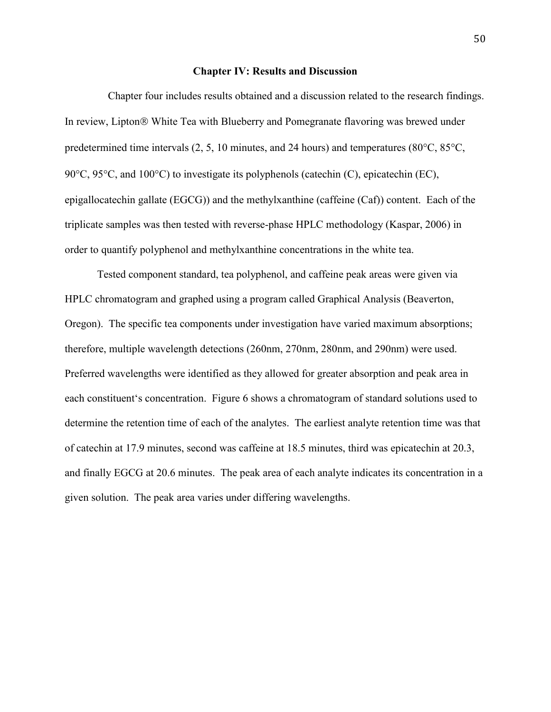### **Chapter IV: Results and Discussion**

Chapter four includes results obtained and a discussion related to the research findings. In review, Lipton ® White Tea with Blueberry and Pomegranate flavoring was brewed under predetermined time intervals  $(2, 5, 10 \text{ minutes}, \text{and } 24 \text{ hours})$  and temperatures  $(80^{\circ} \text{C}, 85^{\circ} \text{C},$ 90 $\degree$ C, 95 $\degree$ C, and 100 $\degree$ C) to investigate its polyphenols (catechin (C), epicatechin (EC), epigallocatechin gallate (EGCG)) and the methylxanthine (caffeine (Caf)) content. Each of the triplicate samples was then tested with reverse-phase HPLC methodology (Kaspar, 2006) in order to quantify polyphenol and methylxanthine concentrations in the white tea.

Tested component standard, tea polyphenol, and caffeine peak areas were given via HPLC chromatogram and graphed using a program called Graphical Analysis (Beaverton, Oregon). The specific tea components under investigation have varied maximum absorptions; therefore, multiple wavelength detections (260nm, 270nm, 280nm, and 290nm) were used. Preferred wavelengths were identified as they allowed for greater absorption and peak area in each constituent's concentration. Figure 6 shows a chromatogram of standard solutions used to determine the retention time of each of the analytes. The earliest analyte retention time was that of catechin at 17.9 minutes, second was caffeine at 18.5 minutes, third was epicatechin at 20.3, and finally EGCG at 20.6 minutes. The peak area of each analyte indicates its concentration in a given solution. The peak area varies under differing wavelengths.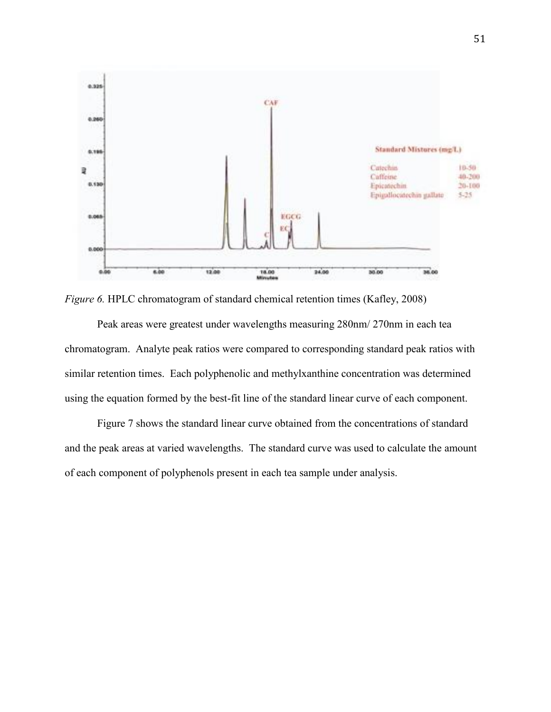

*Figure 6.* HPLC chromatogram of standard chemical retention times (Kafley, 2008)

Peak areas were greatest under wavelengths measuring 280nm/ 270nm in each tea chromatogram. Analyte peak ratios were compared to corresponding standard peak ratios with similar retention times. Each polyphenolic and methylxanthine concentration was determined using the equation formed by the best-fit line of the standard linear curve of each component.

Figure 7 shows the standard linear curve obtained from the concentrations of standard and the peak areas at varied wavelengths. The standard curve was used to calculate the amount of each component of polyphenols present in each tea sample under analysis.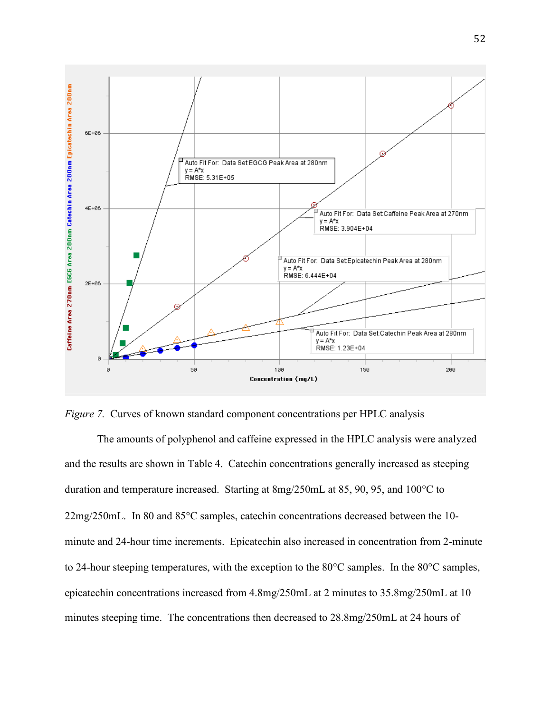

*Figure 7.* Curves of known standard component concentrations per HPLC analysis

The amounts of polyphenol and caffeine expressed in the HPLC analysis were analyzed and the results are shown in Table 4. Catechin concentrations generally increased as steeping duration and temperature increased. Starting at  $8mg/250mL$  at 85, 90, 95, and 100 $^{\circ}$ C to  $22mg/250mL$ . In 80 and 85 $\degree$ C samples, catechin concentrations decreased between the 10minute and 24-hour time increments. Epicatechin also increased in concentration from 2-minute to 24-hour steeping temperatures, with the exception to the  $80^{\circ}$ C samples. In the  $80^{\circ}$ C samples, epicatechin concentrations increased from 4.8mg/250mL at 2 minutes to 35.8mg/250mL at 10 minutes steeping time. The concentrations then decreased to 28.8mg/250mL at 24 hours of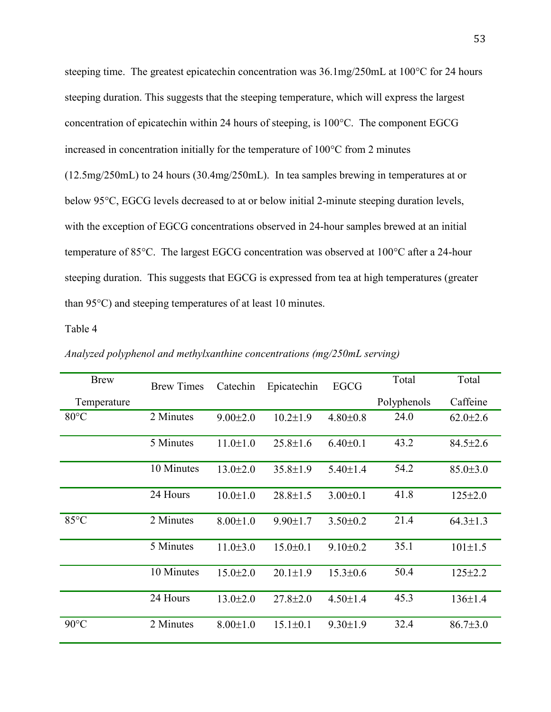steeping time. The greatest epicatechin concentration was  $36.1 \text{mg}/250 \text{m}$ L at  $100^{\circ}$ C for 24 hours steeping duration. This suggests that the steeping temperature, which will express the largest concentration of epicatechin within 24 hours of steeping, is  $100^{\circ}$ C. The component EGCG increased in concentration initially for the temperature of  $100^{\circ}$ C from 2 minutes (12.5mg/250mL) to 24 hours (30.4mg/250mL). In tea samples brewing in temperatures at or below 95<sup>o</sup>C, EGCG levels decreased to at or below initial 2-minute steeping duration levels, with the exception of EGCG concentrations observed in 24-hour samples brewed at an initial temperature of 85°C. The largest EGCG concentration was observed at 100°C after a 24-hour steeping duration. This suggests that EGCG is expressed from tea at high temperatures (greater than  $95^{\circ}$ C) and steeping temperatures of at least 10 minutes.

Table 4

| <b>Brew</b>    | <b>Brew Times</b> | Catechin       | Epicatechin    | <b>EGCG</b>    | Total       | Total          |
|----------------|-------------------|----------------|----------------|----------------|-------------|----------------|
| Temperature    |                   |                |                |                | Polyphenols | Caffeine       |
| $80^{\circ}$ C | 2 Minutes         | $9.00 \pm 2.0$ | $10.2 \pm 1.9$ | $4.80 \pm 0.8$ | 24.0        | $62.0 \pm 2.6$ |
|                | 5 Minutes         | $11.0 \pm 1.0$ | $25.8 \pm 1.6$ | $6.40 \pm 0.1$ | 43.2        | $84.5 \pm 2.6$ |
|                | 10 Minutes        | $13.0 \pm 2.0$ | $35.8 \pm 1.9$ | $5.40 \pm 1.4$ | 54.2        | $85.0 \pm 3.0$ |
|                | 24 Hours          | $10.0 \pm 1.0$ | $28.8 \pm 1.5$ | $3.00 \pm 0.1$ | 41.8        | $125 \pm 2.0$  |
| $85^{\circ}$ C | 2 Minutes         | $8.00 \pm 1.0$ | $9.90 \pm 1.7$ | $3.50 \pm 0.2$ | 21.4        | $64.3 \pm 1.3$ |
|                | 5 Minutes         | $11.0 \pm 3.0$ | $15.0 \pm 0.1$ | $9.10 \pm 0.2$ | 35.1        | $101 \pm 1.5$  |
|                | 10 Minutes        | $15.0 \pm 2.0$ | $20.1 \pm 1.9$ | $15.3 \pm 0.6$ | 50.4        | $125 \pm 2.2$  |
|                | 24 Hours          | $13.0 \pm 2.0$ | $27.8 \pm 2.0$ | $4.50 \pm 1.4$ | 45.3        | $136 \pm 1.4$  |
| $90^{\circ}$ C | 2 Minutes         | $8.00 \pm 1.0$ | $15.1 \pm 0.1$ | $9.30 \pm 1.9$ | 32.4        | $86.7{\pm}3.0$ |

*Analyzed polyphenol and methylxanthine concentrations (mg/250mL serving)*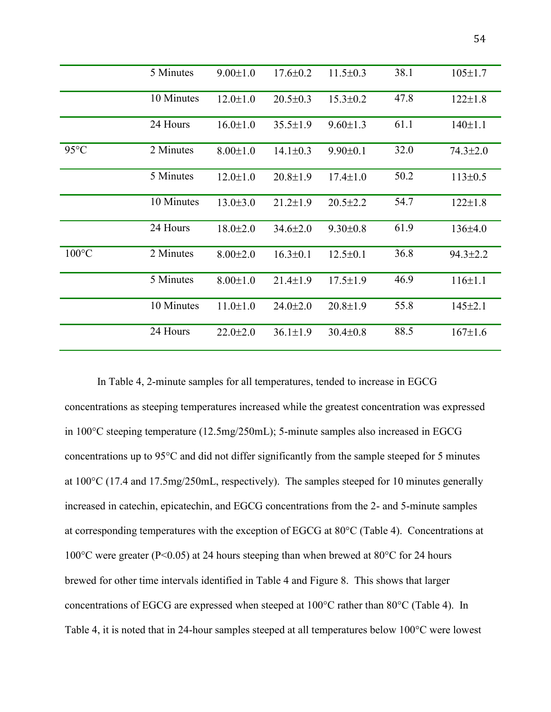|                 | 5 Minutes  | $9.00 \pm 1.0$ | $17.6 \pm 0.2$ | $11.5 \pm 0.3$ | 38.1 | $105 \pm 1.7$  |
|-----------------|------------|----------------|----------------|----------------|------|----------------|
|                 | 10 Minutes | $12.0 \pm 1.0$ | $20.5 \pm 0.3$ | $15.3 \pm 0.2$ | 47.8 | $122 \pm 1.8$  |
|                 | 24 Hours   | $16.0 \pm 1.0$ | $35.5 \pm 1.9$ | $9.60 \pm 1.3$ | 61.1 | $140 \pm 1.1$  |
| $95^{\circ}$ C  | 2 Minutes  | $8.00 \pm 1.0$ | $14.1 \pm 0.3$ | $9.90 \pm 0.1$ | 32.0 | $74.3 \pm 2.0$ |
|                 | 5 Minutes  | $12.0 \pm 1.0$ | $20.8 \pm 1.9$ | $17.4 \pm 1.0$ | 50.2 | $113 \pm 0.5$  |
|                 | 10 Minutes | $13.0 \pm 3.0$ | $21.2 \pm 1.9$ | $20.5 \pm 2.2$ | 54.7 | $122 \pm 1.8$  |
|                 | 24 Hours   | $18.0{\pm}2.0$ | $34.6 \pm 2.0$ | $9.30 \pm 0.8$ | 61.9 | 136±4.0        |
| $100^{\circ}$ C | 2 Minutes  | $8.00 \pm 2.0$ | $16.3 \pm 0.1$ | $12.5 \pm 0.1$ | 36.8 | $94.3 \pm 2.2$ |
|                 | 5 Minutes  | $8.00 \pm 1.0$ | $21.4 \pm 1.9$ | $17.5 \pm 1.9$ | 46.9 | $116 \pm 1.1$  |
|                 | 10 Minutes | $11.0 \pm 1.0$ | $24.0 \pm 2.0$ | $20.8 \pm 1.9$ | 55.8 | $145 \pm 2.1$  |
|                 | 24 Hours   | $22.0 \pm 2.0$ | $36.1 \pm 1.9$ | $30.4 \pm 0.8$ | 88.5 | $167 \pm 1.6$  |

In Table 4, 2-minute samples for all temperatures, tended to increase in EGCG concentrations as steeping temperatures increased while the greatest concentration was expressed in 100°C steeping temperature (12.5mg/250mL); 5-minute samples also increased in EGCG concentrations up to 95°C and did not differ significantly from the sample steeped for 5 minutes at 100°C (17.4 and 17.5mg/250mL, respectively). The samples steeped for 10 minutes generally increased in catechin, epicatechin, and EGCG concentrations from the 2- and 5-minute samples at corresponding temperatures with the exception of EGCG at 80°C (Table 4). Concentrations at 100°C were greater (P<0.05) at 24 hours steeping than when brewed at 80°C for 24 hours brewed for other time intervals identified in Table 4 and Figure 8. This shows that larger concentrations of EGCG are expressed when steeped at 100°C rather than 80°C (Table 4). In Table 4, it is noted that in 24-hour samples steeped at all temperatures below 100°C were lowest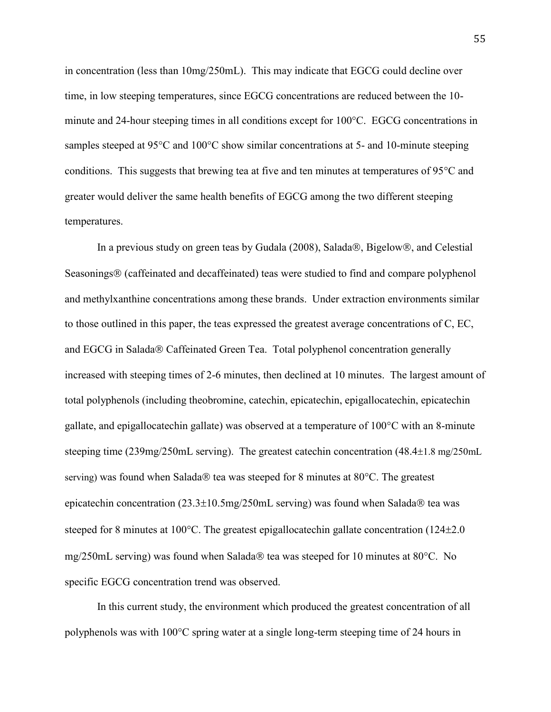in concentration (less than 10mg/250mL). This may indicate that EGCG could decline over time, in low steeping temperatures, since EGCG concentrations are reduced between the 10 minute and 24-hour steeping times in all conditions except for 100°C. EGCG concentrations in samples steeped at 95°C and 100°C show similar concentrations at 5- and 10-minute steeping conditions. This suggests that brewing tea at five and ten minutes at temperatures of  $95^{\circ}$ C and greater would deliver the same health benefits of EGCG among the two different steeping temperatures.

In a previous study on green teas by Gudala (2008), Salada®, Bigelow®, and Celestial Seasonings<sup>®</sup> (caffeinated and decaffeinated) teas were studied to find and compare polyphenol and methylxanthine concentrations among these brands. Under extraction environments similar to those outlined in this paper, the teas expressed the greatest average concentrations of C, EC, and EGCG in Salada® Caffeinated Green Tea. Total polyphenol concentration generally increased with steeping times of 2-6 minutes, then declined at 10 minutes. The largest amount of total polyphenols (including theobromine, catechin, epicatechin, epigallocatechin, epicatechin gallate, and epigallocatechin gallate) was observed at a temperature of  $100^{\circ}$ C with an 8-minute steeping time (239mg/250mL serving). The greatest catechin concentration (48.4 $\pm$ 1.8 mg/250mL serving) was found when Salada tea was steeped for 8 minutes at  $80^{\circ}$ C. The greatest epicatechin concentration  $(23.3\pm10.5\text{mg}/250\text{mL}$  serving) was found when Salada ® tea was steeped for 8 minutes at  $100^{\circ}$ C. The greatest epigallocatechin gallate concentration (124 $\pm$ 2.0 mg/250mL serving) was found when Salada tea was steeped for 10 minutes at  $80^{\circ}$ C. No specific EGCG concentration trend was observed.

In this current study, the environment which produced the greatest concentration of all polyphenols was with 100°C spring water at a single long-term steeping time of 24 hours in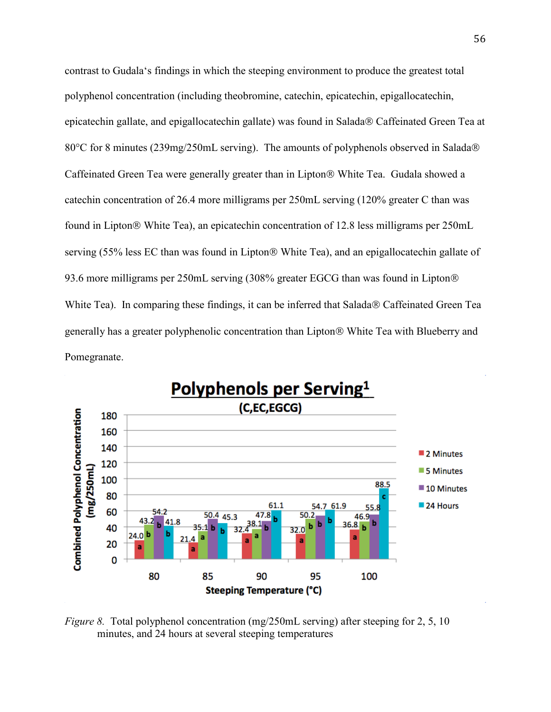contrast to Gudala's findings in which the steeping environment to produce the greatest total polyphenol concentration (including theobromine, catechin, epicatechin, epigallocatechin, epicatechin gallate, and epigallocatechin gallate) was found in Salada® Caffeinated Green Tea at 80°C for 8 minutes (239mg/250mL serving). The amounts of polyphenols observed in Salada® Caffeinated Green Tea were generally greater than in Lipton® White Tea. Gudala showed a catechin concentration of 26.4 more milligrams per 250mL serving (120% greater C than was found in Lipton<sup>®</sup> White Tea), an epicatechin concentration of 12.8 less milligrams per 250mL serving (55% less EC than was found in Lipton® White Tea), and an epigallocatechin gallate of 93.6 more milligrams per 250mL serving (308% greater EGCG than was found in Lipton White Tea). In comparing these findings, it can be inferred that Salada® Caffeinated Green Tea generally has a greater polyphenolic concentration than Lipton White Tea with Blueberry and Pomegranate.



*Figure 8.* Total polyphenol concentration (mg/250mL serving) after steeping for 2, 5, 10 minutes, and 24 hours at several steeping temperatures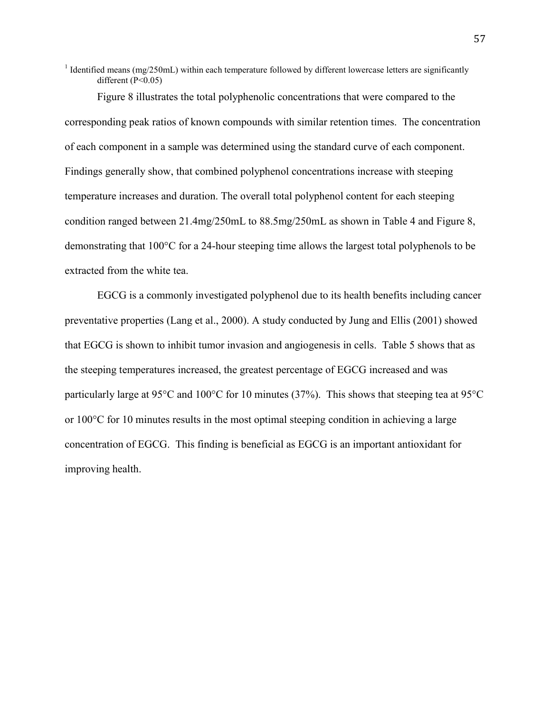<sup>1</sup> Identified means (mg/250mL) within each temperature followed by different lowercase letters are significantly different  $(P<0.05)$ 

Figure 8 illustrates the total polyphenolic concentrations that were compared to the corresponding peak ratios of known compounds with similar retention times. The concentration of each component in a sample was determined using the standard curve of each component. Findings generally show, that combined polyphenol concentrations increase with steeping temperature increases and duration. The overall total polyphenol content for each steeping condition ranged between 21.4mg/250mL to 88.5mg/250mL as shown in Table 4 and Figure 8, demonstrating that 100°C for a 24-hour steeping time allows the largest total polyphenols to be extracted from the white tea.

EGCG is a commonly investigated polyphenol due to its health benefits including cancer preventative properties (Lang et al., 2000). A study conducted by Jung and Ellis (2001) showed that EGCG is shown to inhibit tumor invasion and angiogenesis in cells. Table 5 shows that as the steeping temperatures increased, the greatest percentage of EGCG increased and was particularly large at 95°C and 100°C for 10 minutes (37%). This shows that steeping tea at 95°C or 100°C for 10 minutes results in the most optimal steeping condition in achieving a large concentration of EGCG. This finding is beneficial as EGCG is an important antioxidant for improving health.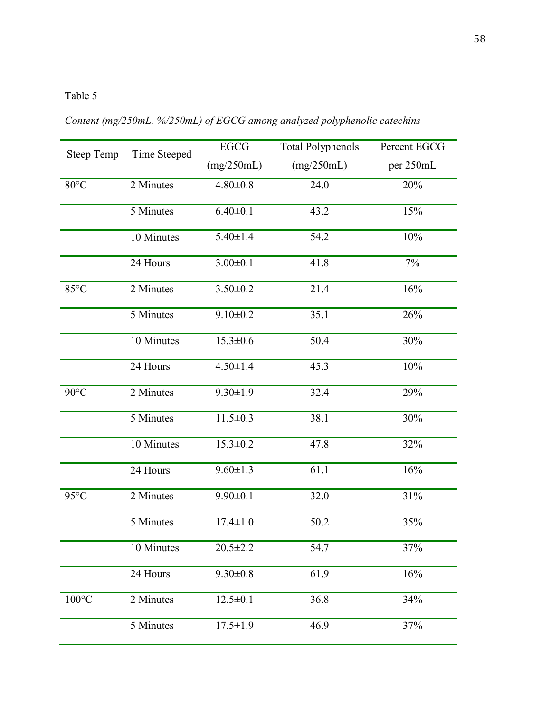# Table 5

*Content (mg/250mL, %/250mL) of EGCG among analyzed polyphenolic catechins*

| <b>Steep Temp</b> | Time Steeped | <b>EGCG</b>    | <b>Total Polyphenols</b> | Percent EGCG |
|-------------------|--------------|----------------|--------------------------|--------------|
|                   |              | (mg/250mL)     | (mg/250mL)               | per 250mL    |
| $80^{\circ}$ C    | 2 Minutes    | $4.80 \pm 0.8$ | 24.0                     | 20%          |
|                   | 5 Minutes    | $6.40 \pm 0.1$ | 43.2                     | 15%          |
|                   | 10 Minutes   | $5.40 \pm 1.4$ | 54.2                     | 10%          |
|                   | 24 Hours     | $3.00 \pm 0.1$ | 41.8                     | $7\%$        |
| 85°C              | 2 Minutes    | $3.50 \pm 0.2$ | 21.4                     | 16%          |
|                   | 5 Minutes    | $9.10 \pm 0.2$ | 35.1                     | 26%          |
|                   | 10 Minutes   | $15.3 \pm 0.6$ | 50.4                     | 30%          |
|                   | 24 Hours     | $4.50 \pm 1.4$ | 45.3                     | 10%          |
| $90^{\circ}$ C    | 2 Minutes    | $9.30 \pm 1.9$ | 32.4                     | 29%          |
|                   | 5 Minutes    | $11.5 \pm 0.3$ | 38.1                     | 30%          |
|                   | 10 Minutes   | $15.3 \pm 0.2$ | 47.8                     | 32%          |
|                   | 24 Hours     | $9.60 \pm 1.3$ | 61.1                     | 16%          |
| $95^{\circ}$ C    | 2 Minutes    | $9.90 \pm 0.1$ | 32.0                     | 31%          |
|                   | 5 Minutes    | $17.4 \pm 1.0$ | 50.2                     | 35%          |
|                   | 10 Minutes   | $20.5 \pm 2.2$ | 54.7                     | 37%          |
|                   | 24 Hours     | $9.30 \pm 0.8$ | 61.9                     | 16%          |
| $100^{\circ}$ C   | 2 Minutes    | $12.5 \pm 0.1$ | 36.8                     | 34%          |
|                   | 5 Minutes    | $17.5 \pm 1.9$ | 46.9                     | 37%          |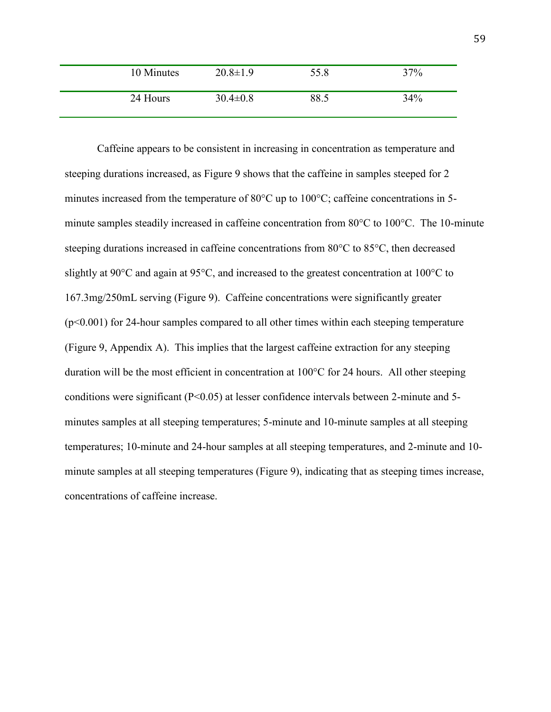| 10 Minutes | $20.8 \pm 1.9$ | 55.8 | 37% |
|------------|----------------|------|-----|
| 24 Hours   | $30.4 \pm 0.8$ | 88.5 | 34% |

Caffeine appears to be consistent in increasing in concentration as temperature and steeping durations increased, as Figure 9 shows that the caffeine in samples steeped for 2 minutes increased from the temperature of 80°C up to 100°C; caffeine concentrations in 5 minute samples steadily increased in caffeine concentration from 80°C to 100°C. The 10-minute steeping durations increased in caffeine concentrations from 80°C to 85°C, then decreased slightly at 90 $\degree$ C and again at 95 $\degree$ C, and increased to the greatest concentration at 100 $\degree$ C to 167.3mg/250mL serving (Figure 9). Caffeine concentrations were significantly greater (p<0.001) for 24-hour samples compared to all other times within each steeping temperature (Figure 9, Appendix A). This implies that the largest caffeine extraction for any steeping duration will be the most efficient in concentration at 100°C for 24 hours. All other steeping conditions were significant (P<0.05) at lesser confidence intervals between 2-minute and 5 minutes samples at all steeping temperatures; 5-minute and 10-minute samples at all steeping temperatures; 10-minute and 24-hour samples at all steeping temperatures, and 2-minute and 10 minute samples at all steeping temperatures (Figure 9), indicating that as steeping times increase, concentrations of caffeine increase.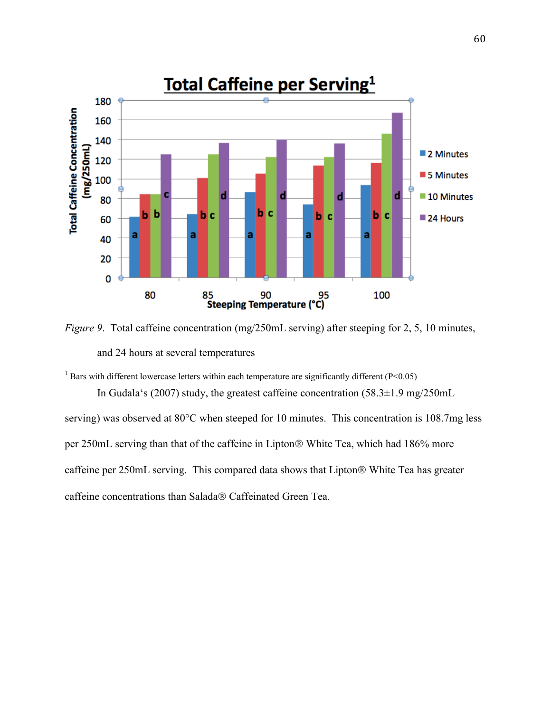

*Figure 9.* Total caffeine concentration (mg/250mL serving) after steeping for 2, 5, 10 minutes, and 24 hours at several temperatures

<sup>1</sup> Bars with different lowercase letters within each temperature are significantly different ( $P < 0.05$ )

In Gudala's (2007) study, the greatest caffeine concentration (58.3±1.9 mg/250mL serving) was observed at 80°C when steeped for 10 minutes. This concentration is 108.7mg less per 250mL serving than that of the caffeine in Lipton® White Tea, which had 186% more caffeine per 250mL serving. This compared data shows that Lipton<sup>®</sup> White Tea has greater caffeine concentrations than Salada® Caffeinated Green Tea.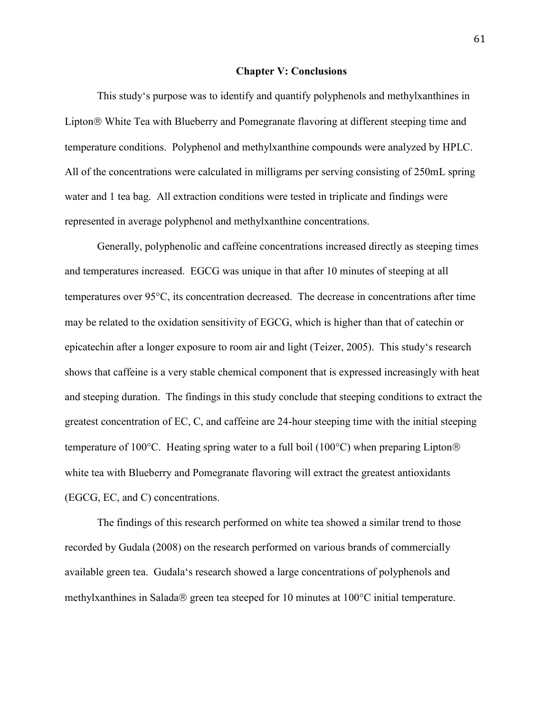#### **Chapter V: Conclusions**

 This study's purpose was to identify and quantify polyphenols and methylxanthines in Lipton<sup>®</sup> White Tea with Blueberry and Pomegranate flavoring at different steeping time and temperature conditions. Polyphenol and methylxanthine compounds were analyzed by HPLC. All of the concentrations were calculated in milligrams per serving consisting of 250mL spring water and 1 tea bag. All extraction conditions were tested in triplicate and findings were represented in average polyphenol and methylxanthine concentrations.

 Generally, polyphenolic and caffeine concentrations increased directly as steeping times and temperatures increased. EGCG was unique in that after 10 minutes of steeping at all temperatures over 95C, its concentration decreased. The decrease in concentrations after time may be related to the oxidation sensitivity of EGCG, which is higher than that of catechin or epicatechin after a longer exposure to room air and light (Teizer, 2005). This study's research shows that caffeine is a very stable chemical component that is expressed increasingly with heat and steeping duration. The findings in this study conclude that steeping conditions to extract the greatest concentration of EC, C, and caffeine are 24-hour steeping time with the initial steeping temperature of 100 $^{\circ}$ C. Heating spring water to a full boil (100 $^{\circ}$ C) when preparing Lipton® white tea with Blueberry and Pomegranate flavoring will extract the greatest antioxidants (EGCG, EC, and C) concentrations.

The findings of this research performed on white tea showed a similar trend to those recorded by Gudala (2008) on the research performed on various brands of commercially available green tea. Gudala's research showed a large concentrations of polyphenols and methylxanthines in Salada $\otimes$  green tea steeped for 10 minutes at 100 $\degree$ C initial temperature.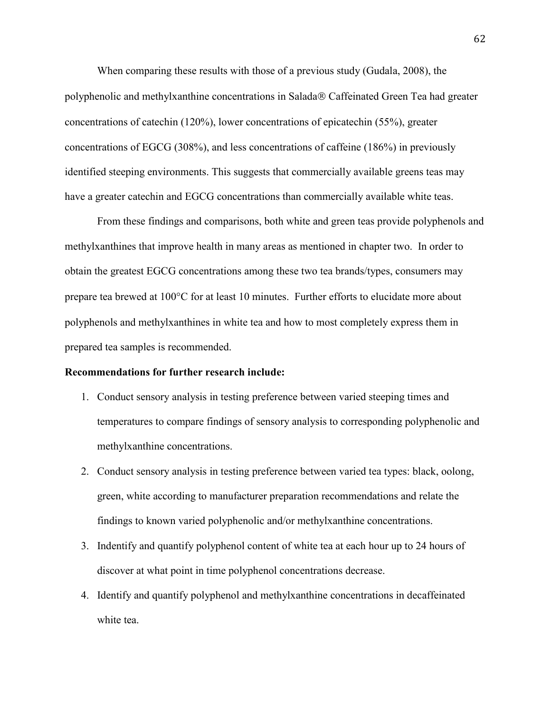When comparing these results with those of a previous study (Gudala, 2008), the polyphenolic and methylxanthine concentrations in Salada® Caffeinated Green Tea had greater concentrations of catechin (120%), lower concentrations of epicatechin (55%), greater concentrations of EGCG (308%), and less concentrations of caffeine (186%) in previously identified steeping environments. This suggests that commercially available greens teas may have a greater catechin and EGCG concentrations than commercially available white teas.

From these findings and comparisons, both white and green teas provide polyphenols and methylxanthines that improve health in many areas as mentioned in chapter two. In order to obtain the greatest EGCG concentrations among these two tea brands/types, consumers may prepare tea brewed at  $100^{\circ}$ C for at least 10 minutes. Further efforts to elucidate more about polyphenols and methylxanthines in white tea and how to most completely express them in prepared tea samples is recommended.

# **Recommendations for further research include:**

- 1. Conduct sensory analysis in testing preference between varied steeping times and temperatures to compare findings of sensory analysis to corresponding polyphenolic and methylxanthine concentrations.
- 2. Conduct sensory analysis in testing preference between varied tea types: black, oolong, green, white according to manufacturer preparation recommendations and relate the findings to known varied polyphenolic and/or methylxanthine concentrations.
- 3. Indentify and quantify polyphenol content of white tea at each hour up to 24 hours of discover at what point in time polyphenol concentrations decrease.
- 4. Identify and quantify polyphenol and methylxanthine concentrations in decaffeinated white tea.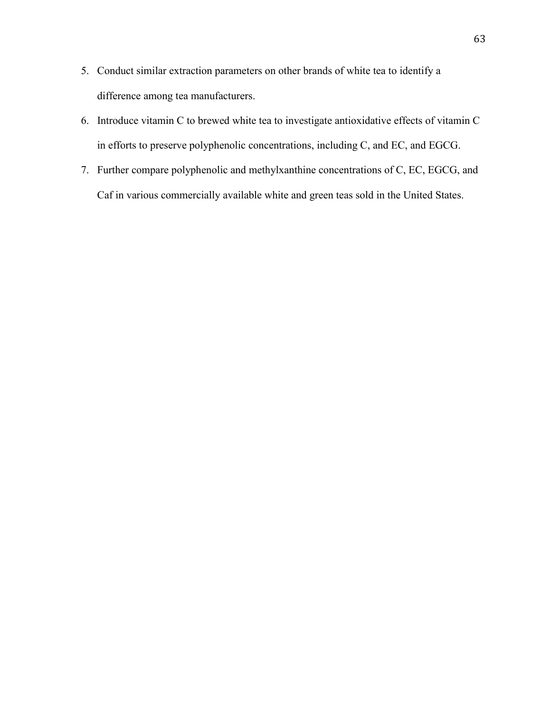- 5. Conduct similar extraction parameters on other brands of white tea to identify a difference among tea manufacturers.
- 6. Introduce vitamin C to brewed white tea to investigate antioxidative effects of vitamin C in efforts to preserve polyphenolic concentrations, including C, and EC, and EGCG.
- 7. Further compare polyphenolic and methylxanthine concentrations of C, EC, EGCG, and Caf in various commercially available white and green teas sold in the United States.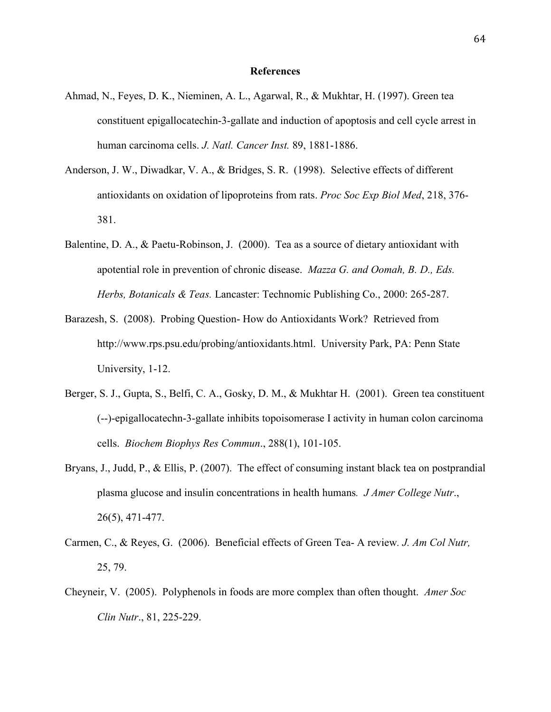### **References**

- Ahmad, N., Feyes, D. K., Nieminen, A. L., Agarwal, R., & Mukhtar, H. (1997). Green tea constituent epigallocatechin-3-gallate and induction of apoptosis and cell cycle arrest in human carcinoma cells. *J. Natl. Cancer Inst.* 89, 1881-1886.
- Anderson, J. W., Diwadkar, V. A., & Bridges, S. R. (1998). Selective effects of different antioxidants on oxidation of lipoproteins from rats. *Proc Soc Exp Biol Med*, 218, 376- 381.
- Balentine, D. A., & Paetu-Robinson, J. (2000). Tea as a source of dietary antioxidant with apotential role in prevention of chronic disease. *Mazza G. and Oomah, B. D., Eds. Herbs, Botanicals & Teas.* Lancaster: Technomic Publishing Co., 2000: 265-287.
- Barazesh, S. (2008). Probing Question- How do Antioxidants Work? Retrieved from [http://www.rps.psu.edu/probing/antioxidants.html.](http://www.rps.psu.edu/probing/antioxidants.html) University Park, PA: Penn State University, 1-12.
- Berger, S. J., Gupta, S., Belfi, C. A., Gosky, D. M., & Mukhtar H. (2001). Green tea constituent (--)-epigallocatechn-3-gallate inhibits topoisomerase I activity in human colon carcinoma cells. *Biochem Biophys Res Commun*., 288(1), 101-105.
- Bryans, J., Judd, P., & Ellis, P. (2007). The effect of consuming instant black tea on postprandial plasma glucose and insulin concentrations in health humans*. J Amer College Nutr*., 26(5), 471-477.
- Carmen, C., & Reyes, G. (2006). Beneficial effects of Green Tea- A review*. J. Am Col Nutr,* 25, 79.
- Cheyneir, V. (2005). Polyphenols in foods are more complex than often thought. *Amer Soc Clin Nutr*., 81, 225-229.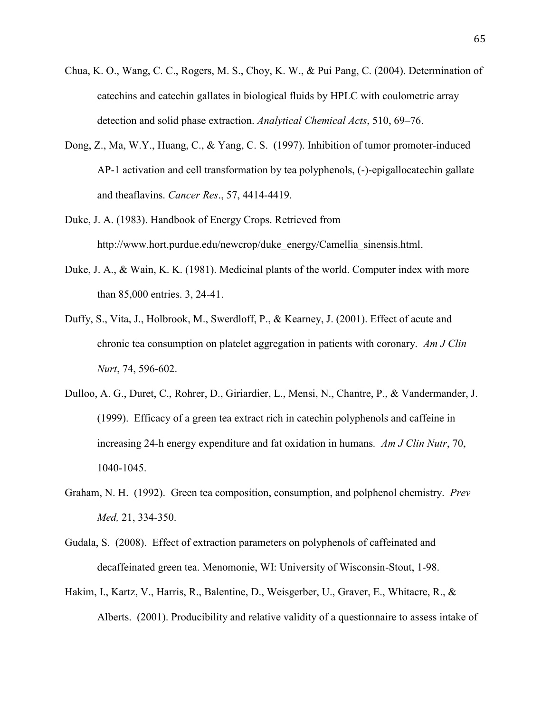- Chua, K. O., Wang, C. C., Rogers, M. S., Choy, K. W., & Pui Pang, C. (2004). Determination of catechins and catechin gallates in biological fluids by HPLC with coulometric array detection and solid phase extraction. *Analytical Chemical Acts*, 510, 69–76.
- Dong, Z., Ma, W.Y., Huang, C., & Yang, C. S. (1997). Inhibition of tumor promoter-induced AP-1 activation and cell transformation by tea polyphenols, (-)-epigallocatechin gallate and theaflavins. *Cancer Res*., 57, 4414-4419.
- Duke, J. A. (1983). Handbook of Energy Crops. Retrieved from [http://www.hort.purdue.edu/newcrop/duke\\_energy/Camellia\\_sinensis.html.](http://www.hort.purdue.edu/newcrop/duke_energy/Camellia_sinensis.html)
- Duke, J. A., & Wain, K. K. (1981). Medicinal plants of the world. Computer index with more than 85,000 entries. 3, 24-41.
- Duffy, S., Vita, J., Holbrook, M., Swerdloff, P., & Kearney, J. (2001). Effect of acute and chronic tea consumption on platelet aggregation in patients with coronary. *Am J Clin Nurt*, 74, 596-602.
- Dulloo, A. G., Duret, C., Rohrer, D., Giriardier, L., Mensi, N., Chantre, P., & Vandermander, J. (1999). Efficacy of a green tea extract rich in catechin polyphenols and caffeine in increasing 24-h energy expenditure and fat oxidation in humans*. Am J Clin Nutr*, 70, 1040-1045.
- Graham, N. H. (1992). Green tea composition, consumption, and polphenol chemistry. *Prev Med,* 21, 334-350.
- Gudala, S. (2008). Effect of extraction parameters on polyphenols of caffeinated and decaffeinated green tea. Menomonie, WI: University of Wisconsin-Stout, 1-98.
- Hakim, I., Kartz, V., Harris, R., Balentine, D., Weisgerber, U., Graver, E., Whitacre, R., & Alberts. (2001). Producibility and relative validity of a questionnaire to assess intake of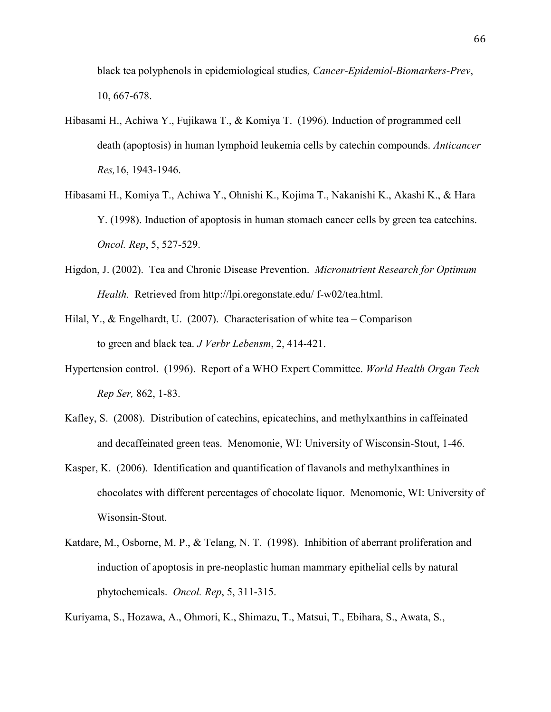black tea polyphenols in epidemiological studies*, Cancer-Epidemiol-Biomarkers-Prev*, 10, 667-678.

- Hibasami H., Achiwa Y., Fujikawa T., & Komiya T. (1996). Induction of programmed cell death (apoptosis) in human lymphoid leukemia cells by catechin compounds. *Anticancer Res,*16, 1943-1946.
- Hibasami H., Komiya T., Achiwa Y., Ohnishi K., Kojima T., Nakanishi K., Akashi K., & Hara Y. (1998). Induction of apoptosis in human stomach cancer cells by green tea catechins. *Oncol. Rep*, 5, 527-529.
- Higdon, J. (2002). Tea and Chronic Disease Prevention. *Micronutrient Research for Optimum Health.* Retrieved from http:/[/lpi.oregonstate.edu/ f-w02/tea.html.](http://lpi.oregonstate.edu/f-w02/tea.html)
- Hilal, Y., & Engelhardt, U. (2007). Characterisation of white tea Comparison to green and black tea. *J Verbr Lebensm*, 2, 414-421.
- Hypertension control. (1996). Report of a WHO Expert Committee. *World Health Organ Tech Rep Ser,* 862, 1-83.
- Kafley, S. (2008). Distribution of catechins, epicatechins, and methylxanthins in caffeinated and decaffeinated green teas. Menomonie, WI: University of Wisconsin-Stout, 1-46.
- Kasper, K. (2006). Identification and quantification of flavanols and methylxanthines in chocolates with different percentages of chocolate liquor. Menomonie, WI: University of Wisonsin-Stout.
- Katdare, M., Osborne, M. P., & Telang, N. T. (1998). Inhibition of aberrant proliferation and induction of apoptosis in pre-neoplastic human mammary epithelial cells by natural phytochemicals. *Oncol. Rep*, 5, 311-315.

Kuriyama, S., Hozawa, A., Ohmori, K., Shimazu, T., Matsui, T., Ebihara, S., Awata, S.,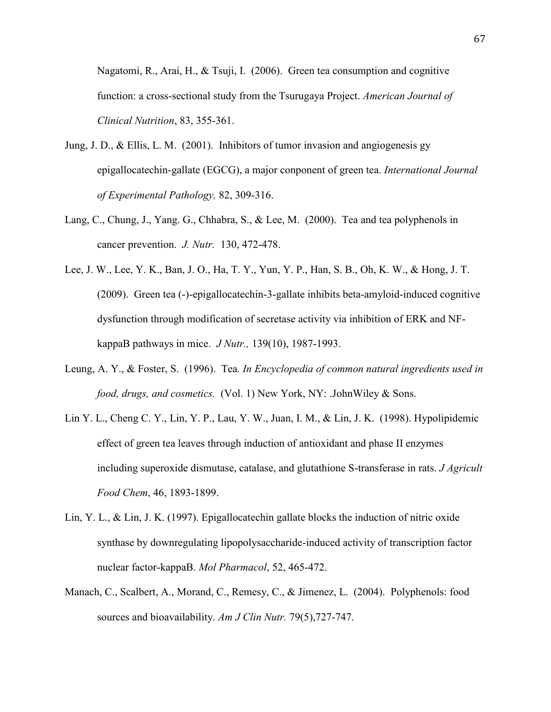Nagatomi, R., Arai, H., & Tsuji, I. (2006). Green tea consumption and cognitive function: a cross-sectional study from the Tsurugaya Project. *American Journal of Clinical Nutrition*, 83, 355-361.

- Jung, J. D., & Ellis, L. M. (2001). Inhibitors of tumor invasion and angiogenesis gy epigallocatechin-gallate (EGCG), a major conponent of green tea. *International Journal of Experimental Pathology,* 82, 309-316.
- Lang, C., Chung, J., Yang. G., Chhabra, S., & Lee, M. (2000). Tea and tea polyphenols in cancer prevention. *J. Nutr.* 130, 472-478.
- Lee, J. W., Lee, Y. K., Ban, J. O., Ha, T. Y., Yun, Y. P., Han, S. B., Oh, K. W., & Hong, J. T. (2009). Green tea (-)-epigallocatechin-3-gallate inhibits beta-amyloid-induced cognitive dysfunction through modification of secretase activity via inhibition of ERK and NFkappaB pathways in mice. *J Nutr.,* 139(10), 1987-1993.
- Leung, A. Y., & Foster, S. (1996). Tea*. In Encyclopedia of common natural ingredients used in food, drugs, and cosmetics.* (Vol. 1) New York, NY: .JohnWiley & Sons.
- Lin Y. L., Cheng C. Y., Lin, Y. P., Lau, Y. W., Juan, I. M., & Lin, J. K. (1998). Hypolipidemic effect of green tea leaves through induction of antioxidant and phase II enzymes including superoxide dismutase, catalase, and glutathione S-transferase in rats. *J Agricult Food Chem*, 46, 1893-1899.
- Lin, Y. L., & Lin, J. K. (1997). Epigallocatechin gallate blocks the induction of nitric oxide synthase by downregulating lipopolysaccharide-induced activity of transcription factor nuclear factor-kappaB. *Mol Pharmacol*, 52, 465-472.
- Manach, C., Scalbert, A., Morand, C., Remesy, C., & Jimenez, L. (2004). Polyphenols: food sources and bioavailability. *Am J Clin Nutr.* 79(5),727-747.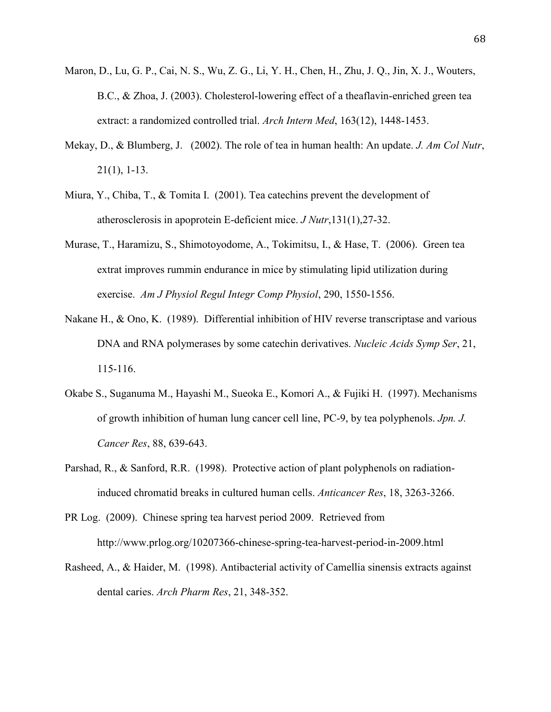- Maron, D., Lu, G. P., Cai, N. S., Wu, Z. G., Li, Y. H., Chen, H., Zhu, J. Q., Jin, X. J., Wouters, B.C., & Zhoa, J. (2003). Cholesterol-lowering effect of a theaflavin-enriched green tea extract: a randomized controlled trial. *Arch Intern Med*, 163(12), 1448-1453.
- Mekay, D., & Blumberg, J. (2002). The role of tea in human health: An update. *J. Am Col Nutr*, 21(1), 1-13.
- Miura, Y., Chiba, T., & Tomita I. (2001). Tea catechins prevent the development of atherosclerosis in apoprotein E-deficient mice. *J Nutr*,131(1),27-32.
- Murase, T., Haramizu, S., Shimotoyodome, A., Tokimitsu, I., & Hase, T. (2006). Green tea extrat improves rummin endurance in mice by stimulating lipid utilization during exercise. *Am J Physiol Regul Integr Comp Physiol*, 290, 1550-1556.
- Nakane H., & Ono, K. (1989). Differential inhibition of HIV reverse transcriptase and various DNA and RNA polymerases by some catechin derivatives. *Nucleic Acids Symp Ser*, 21, 115-116.
- Okabe S., Suganuma M., Hayashi M., Sueoka E., Komori A., & Fujiki H. (1997). Mechanisms of growth inhibition of human lung cancer cell line, PC-9, by tea polyphenols. *Jpn. J. Cancer Res*, 88, 639-643.
- Parshad, R., & Sanford, R.R. (1998). Protective action of plant polyphenols on radiationinduced chromatid breaks in cultured human cells. *Anticancer Res*, 18, 3263-3266.
- PR Log. (2009). Chinese spring tea harvest period 2009. Retrieved from <http://www.prlog.org/10207366-chinese-spring-tea-harvest-period-in-2009.html>
- Rasheed, A., & Haider, M. (1998). Antibacterial activity of Camellia sinensis extracts against dental caries. *Arch Pharm Res*, 21, 348-352.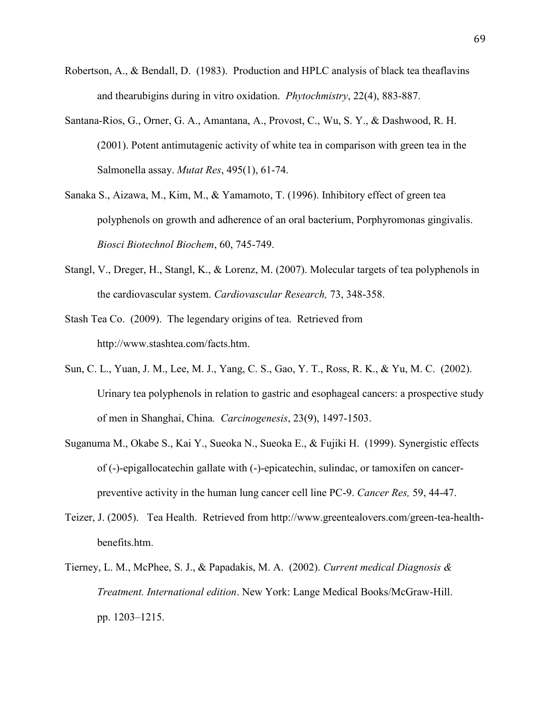- Robertson, A., & Bendall, D. (1983). Production and HPLC analysis of black tea theaflavins and thearubigins during in vitro oxidation. *Phytochmistry*, 22(4), 883-887.
- Santana-Rios, G., Orner, G. A., Amantana, A., Provost, C., Wu, S. Y., & Dashwood, R. H. (2001). Potent antimutagenic activity of white tea in comparison with green tea in the Salmonella assay. *Mutat Res*, 495(1), 61-74.
- Sanaka S., Aizawa, M., Kim, M., & Yamamoto, T. (1996). Inhibitory effect of green tea polyphenols on growth and adherence of an oral bacterium, Porphyromonas gingivalis. *Biosci Biotechnol Biochem*, 60, 745-749.
- Stangl, V., Dreger, H., Stangl, K., & Lorenz, M. (2007). Molecular targets of tea polyphenols in the cardiovascular system. *Cardiovascular Research,* 73, 348-358.
- Stash Tea Co. (2009). The legendary origins of tea. Retrieved from [http://www.stashtea.com/facts.htm.](http://www.stashtea.com/facts.htm)
- Sun, C. L., Yuan, J. M., Lee, M. J., Yang, C. S., Gao, Y. T., Ross, R. K., & Yu, M. C. (2002). Urinary tea polyphenols in relation to gastric and esophageal cancers: a prospective study of men in Shanghai, China*. Carcinogenesis*, 23(9), 1497-1503.
- Suganuma M., Okabe S., Kai Y., Sueoka N., Sueoka E., & Fujiki H. (1999). Synergistic effects of (-)-epigallocatechin gallate with (-)-epicatechin, sulindac, or tamoxifen on cancerpreventive activity in the human lung cancer cell line PC-9. *Cancer Res,* 59, 44-47.
- Teizer, J. (2005). Tea Health. Retrieved from [http://www.greentealovers.com/green-tea-health](http://www.greentealovers.com/green-tea-health-benefits.htm)[benefits.htm.](http://www.greentealovers.com/green-tea-health-benefits.htm)
- Tierney, L. M., McPhee, S. J., & Papadakis, M. A. (2002). *Current medical Diagnosis & Treatment. International edition*. New York: Lange Medical Books/McGraw-Hill. pp. 1203–1215.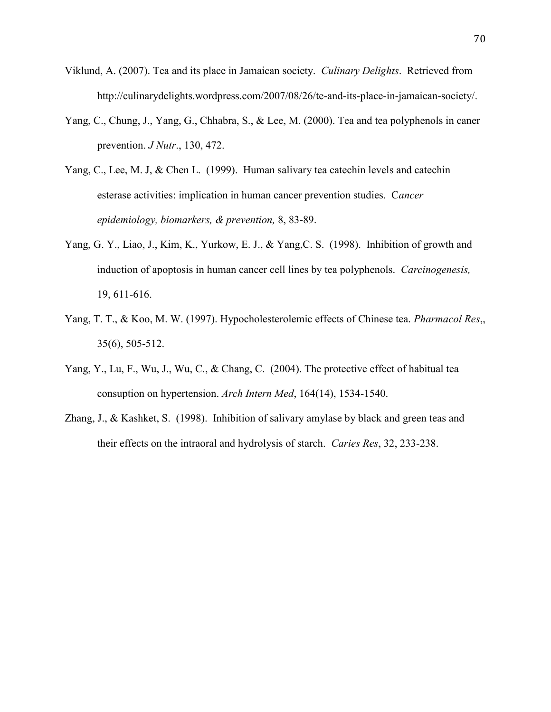- Viklund, A. (2007). Tea and its place in Jamaican society. *Culinary Delights*. Retrieved from [http://culinarydelights.wordpress.com/2007/08/26/te-and-its-place-in-jamaican-society/.](http://culinarydelights.wordpress.com/2007/08/26/te-and-its-place-in-jamaican-society/)
- Yang, C., Chung, J., Yang, G., Chhabra, S., & Lee, M. (2000). Tea and tea polyphenols in caner prevention. *J Nutr*., 130, 472.
- Yang, C., Lee, M. J, & Chen L. (1999). Human salivary tea catechin levels and catechin esterase activities: implication in human cancer prevention studies. C*ancer epidemiology, biomarkers, & prevention,* 8, 83-89.
- Yang, G. Y., Liao, J., Kim, K., Yurkow, E. J., & Yang,C. S. (1998). Inhibition of growth and induction of apoptosis in human cancer cell lines by tea polyphenols. *Carcinogenesis,* 19, 611-616.
- Yang, T. T., & Koo, M. W. (1997). Hypocholesterolemic effects of Chinese tea. *Pharmacol Res*,, 35(6), 505-512.
- Yang, Y., Lu, F., Wu, J., Wu, C., & Chang, C. (2004). The protective effect of habitual tea consuption on hypertension. *Arch Intern Med*, 164(14), 1534-1540.
- Zhang, J., & Kashket, S. (1998). Inhibition of salivary amylase by black and green teas and their effects on the intraoral and hydrolysis of starch. *Caries Res*, 32, 233-238.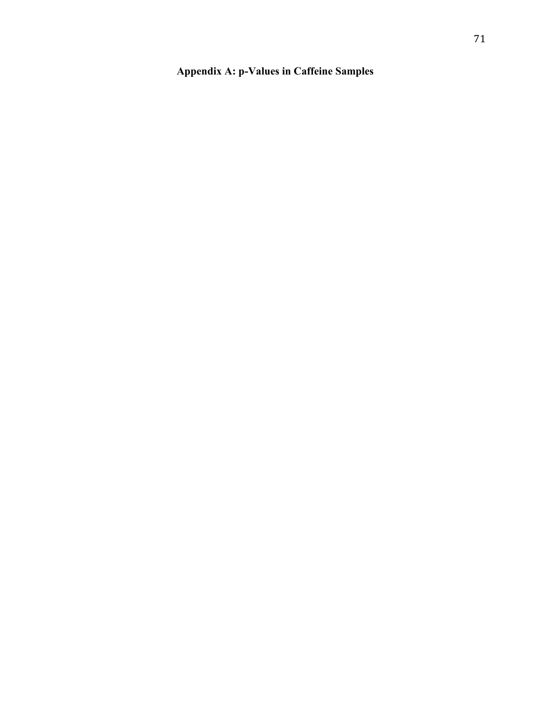# **Appendix A: p-Values in Caffeine Samples**